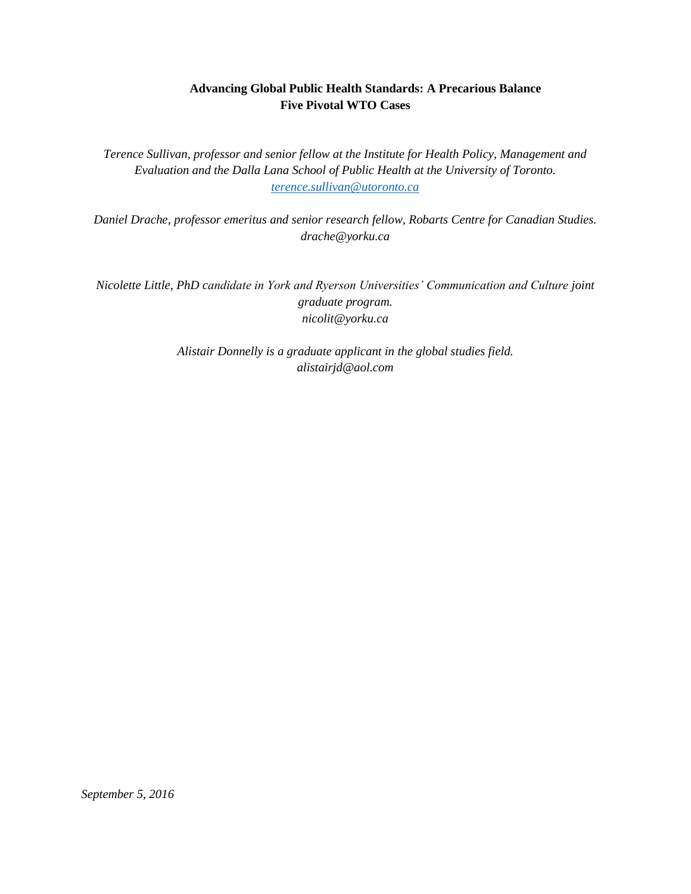# **Advancing Global Public Health Standards: A Precarious Balance Five Pivotal WTO Cases**

*Terence Sullivan, professor and senior fellow at the Institute for Health Policy, Management and Evaluation and the Dalla Lana School of Public Health at the University of Toronto. [terence.sullivan@utoronto.ca](mailto:terence.sullivan@utoronto.ca)*

*Daniel Drache, professor emeritus and senior research fellow, Robarts Centre for Canadian Studies. [drache@yorku.ca](mailto:drache@yorku.ca)*

*Nicolette Little, PhD candidate in York and Ryerson Universities' Communication and Culture joint graduate program. nicolit@yorku.ca*

> *Alistair Donnelly is a graduate applicant in the global studies field. alistairjd@aol.com*

*September 5, 2016*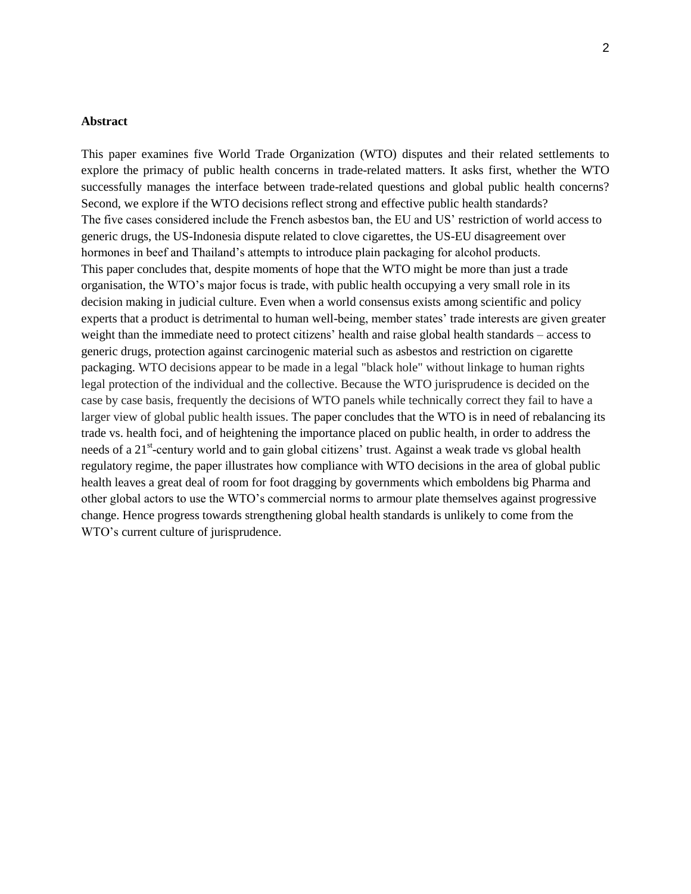#### **Abstract**

This paper examines five World Trade Organization (WTO) disputes and their related settlements to explore the primacy of public health concerns in trade-related matters. It asks first, whether the WTO successfully manages the interface between trade-related questions and global public health concerns? Second, we explore if the WTO decisions reflect strong and effective public health standards? The five cases considered include the French asbestos ban, the EU and US' restriction of world access to generic drugs, the US-Indonesia dispute related to clove cigarettes, the US-EU disagreement over hormones in beef and Thailand's attempts to introduce plain packaging for alcohol products. This paper concludes that, despite moments of hope that the WTO might be more than just a trade organisation, the WTO's major focus is trade, with public health occupying a very small role in its decision making in judicial culture. Even when a world consensus exists among scientific and policy experts that a product is detrimental to human well-being, member states' trade interests are given greater weight than the immediate need to protect citizens' health and raise global health standards – access to generic drugs, protection against carcinogenic material such as asbestos and restriction on cigarette packaging. WTO decisions appear to be made in a legal "black hole" without linkage to human rights legal protection of the individual and the collective. Because the WTO jurisprudence is decided on the case by case basis, frequently the decisions of WTO panels while technically correct they fail to have a larger view of global public health issues. The paper concludes that the WTO is in need of rebalancing its trade vs. health foci, and of heightening the importance placed on public health, in order to address the needs of a 21<sup>st</sup>-century world and to gain global citizens' trust. Against a weak trade vs global health regulatory regime, the paper illustrates how compliance with WTO decisions in the area of global public health leaves a great deal of room for foot dragging by governments which emboldens big Pharma and other global actors to use the WTO's commercial norms to armour plate themselves against progressive change. Hence progress towards strengthening global health standards is unlikely to come from the WTO's current culture of jurisprudence.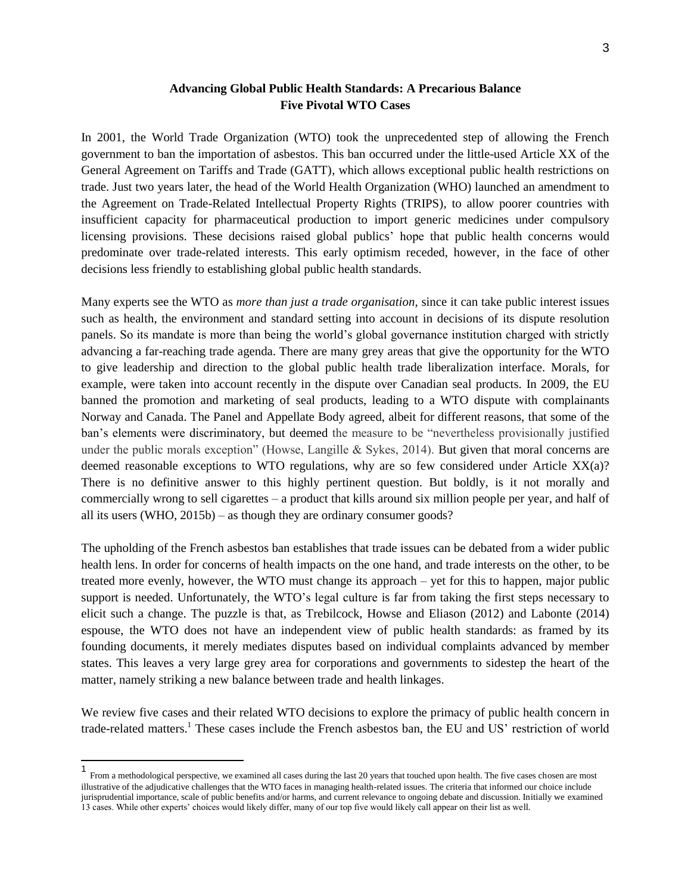## **Advancing Global Public Health Standards: A Precarious Balance Five Pivotal WTO Cases**

In 2001, the World Trade Organization (WTO) took the unprecedented step of allowing the French government to ban the importation of asbestos. This ban occurred under the little-used Article XX of the General Agreement on Tariffs and Trade (GATT), which allows exceptional public health restrictions on trade. Just two years later, the head of the World Health Organization (WHO) launched an amendment to the Agreement on Trade-Related Intellectual Property Rights (TRIPS), to allow poorer countries with insufficient capacity for pharmaceutical production to import generic medicines under compulsory licensing provisions. These decisions raised global publics' hope that public health concerns would predominate over trade-related interests. This early optimism receded, however, in the face of other decisions less friendly to establishing global public health standards.

Many experts see the WTO as *more than just a trade organisation*, since it can take public interest issues such as health, the environment and standard setting into account in decisions of its dispute resolution panels. So its mandate is more than being the world's global governance institution charged with strictly advancing a far-reaching trade agenda. There are many grey areas that give the opportunity for the WTO to give leadership and direction to the global public health trade liberalization interface. Morals, for example, were taken into account recently in the dispute over Canadian seal products. In 2009, the EU banned the promotion and marketing of seal products, leading to a WTO dispute with complainants Norway and Canada. The Panel and Appellate Body agreed, albeit for different reasons, that some of the ban's elements were discriminatory, but deemed the measure to be "nevertheless provisionally justified under the public morals exception" (Howse, Langille & Sykes, 2014). But given that moral concerns are deemed reasonable exceptions to WTO regulations, why are so few considered under Article XX(a)? There is no definitive answer to this highly pertinent question. But boldly, is it not morally and commercially wrong to sell cigarettes – a product that kills around six million people per year, and half of all its users (WHO, 2015b) – as though they are ordinary consumer goods?

The upholding of the French asbestos ban establishes that trade issues can be debated from a wider public health lens. In order for concerns of health impacts on the one hand, and trade interests on the other, to be treated more evenly, however, the WTO must change its approach – yet for this to happen, major public support is needed. Unfortunately, the WTO's legal culture is far from taking the first steps necessary to elicit such a change. The puzzle is that, as Trebilcock, Howse and Eliason (2012) and Labonte (2014) espouse, the WTO does not have an independent view of public health standards: as framed by its founding documents, it merely mediates disputes based on individual complaints advanced by member states. This leaves a very large grey area for corporations and governments to sidestep the heart of the matter, namely striking a new balance between trade and health linkages.

We review five cases and their related WTO decisions to explore the primacy of public health concern in trade-related matters.<sup>1</sup> These cases include the French asbestos ban, the EU and US' restriction of world

 1 From a methodological perspective, we examined all cases during the last 20 years that touched upon health. The five cases chosen are most illustrative of the adjudicative challenges that the WTO faces in managing health-related issues. The criteria that informed our choice include jurisprudential importance, scale of public benefits and/or harms, and current relevance to ongoing debate and discussion. Initially we examined 13 cases. While other experts' choices would likely differ, many of our top five would likely call appear on their list as well.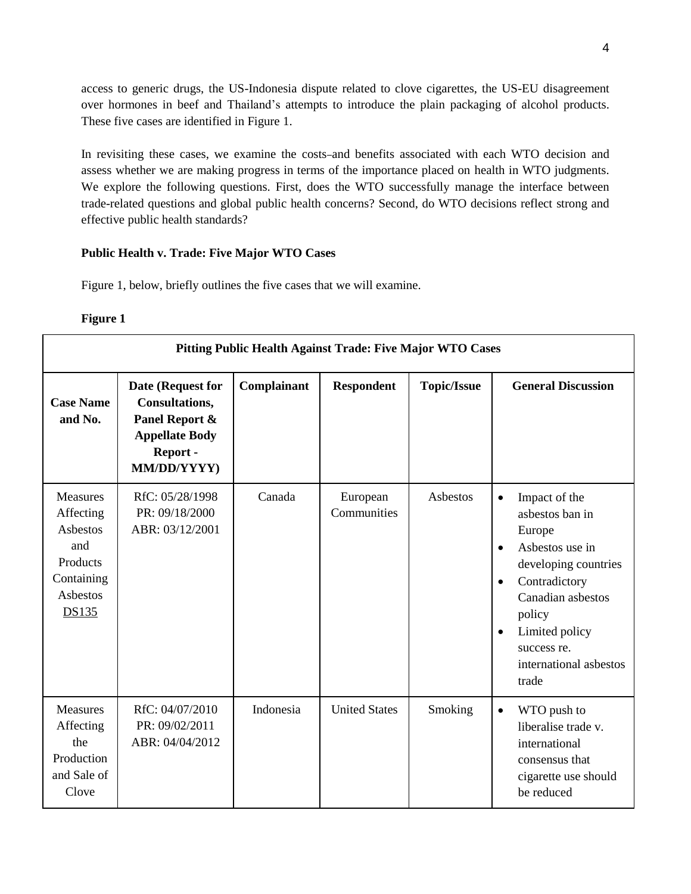access to generic drugs, the US-Indonesia dispute related to clove cigarettes, the US-EU disagreement over hormones in beef and Thailand's attempts to introduce the plain packaging of alcohol products. These five cases are identified in Figure 1.

In revisiting these cases, we examine the costs-and benefits associated with each WTO decision and assess whether we are making progress in terms of the importance placed on health in WTO judgments. We explore the following questions. First, does the WTO successfully manage the interface between trade-related questions and global public health concerns? Second, do WTO decisions reflect strong and effective public health standards?

## **Public Health v. Trade: Five Major WTO Cases**

Figure 1, below, briefly outlines the five cases that we will examine.

## **Figure 1**

|                                                                                                       | Pitting Public Health Against Trade: Five Major WTO Cases                                                |             |                         |                    |                                                                                                                                                                                                                                                               |  |  |  |
|-------------------------------------------------------------------------------------------------------|----------------------------------------------------------------------------------------------------------|-------------|-------------------------|--------------------|---------------------------------------------------------------------------------------------------------------------------------------------------------------------------------------------------------------------------------------------------------------|--|--|--|
| <b>Case Name</b><br>and No.                                                                           | Date (Request for<br>Consultations,<br>Panel Report &<br><b>Appellate Body</b><br>Report-<br>MM/DD/YYYY) | Complainant | <b>Respondent</b>       | <b>Topic/Issue</b> | <b>General Discussion</b>                                                                                                                                                                                                                                     |  |  |  |
| Measures<br>Affecting<br><b>Asbestos</b><br>and<br>Products<br>Containing<br><b>Asbestos</b><br>DS135 | RfC: 05/28/1998<br>PR: 09/18/2000<br>ABR: 03/12/2001                                                     | Canada      | European<br>Communities | Asbestos           | Impact of the<br>$\bullet$<br>asbestos ban in<br>Europe<br>Asbestos use in<br>$\bullet$<br>developing countries<br>Contradictory<br>$\bullet$<br>Canadian asbestos<br>policy<br>Limited policy<br>$\bullet$<br>success re.<br>international asbestos<br>trade |  |  |  |
| <b>Measures</b><br>Affecting<br>the<br>Production<br>and Sale of<br>Clove                             | RfC: 04/07/2010<br>PR: 09/02/2011<br>ABR: 04/04/2012                                                     | Indonesia   | <b>United States</b>    | Smoking            | WTO push to<br>$\bullet$<br>liberalise trade v.<br>international<br>consensus that<br>cigarette use should<br>be reduced                                                                                                                                      |  |  |  |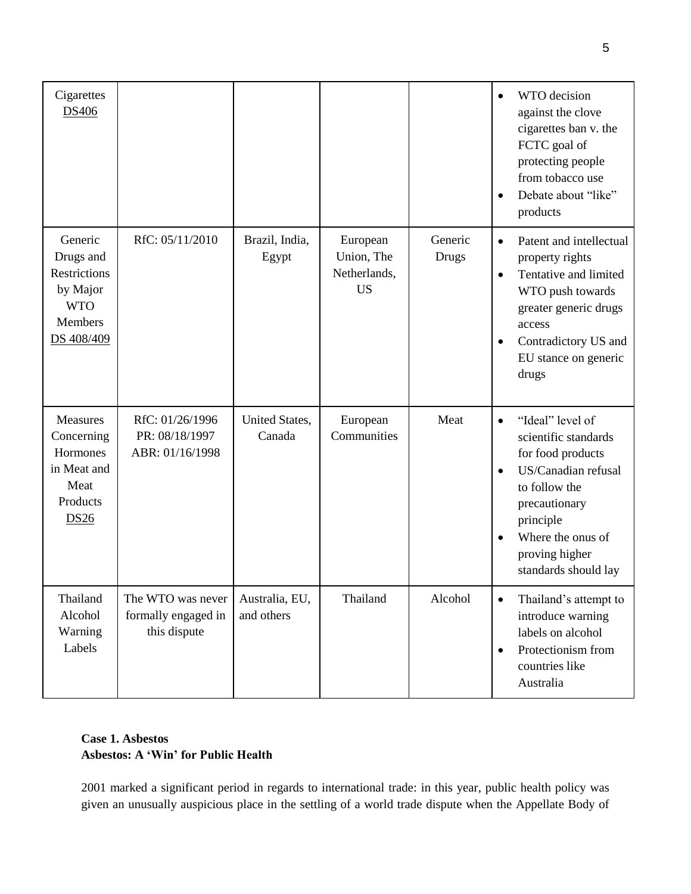| Cigarettes<br>DS406                                                                     |                                                          |                              |                                                     |                  | WTO decision<br>against the clove<br>cigarettes ban v. the<br>FCTC goal of<br>protecting people<br>from tobacco use<br>Debate about "like"<br>$\bullet$<br>products                                                                       |
|-----------------------------------------------------------------------------------------|----------------------------------------------------------|------------------------------|-----------------------------------------------------|------------------|-------------------------------------------------------------------------------------------------------------------------------------------------------------------------------------------------------------------------------------------|
| Generic<br>Drugs and<br>Restrictions<br>by Major<br><b>WTO</b><br>Members<br>DS 408/409 | RfC: 05/11/2010                                          | Brazil, India,<br>Egypt      | European<br>Union, The<br>Netherlands,<br><b>US</b> | Generic<br>Drugs | Patent and intellectual<br>$\bullet$<br>property rights<br>Tentative and limited<br>$\bullet$<br>WTO push towards<br>greater generic drugs<br>access<br>Contradictory US and<br>$\bullet$<br>EU stance on generic<br>drugs                |
| <b>Measures</b><br>Concerning<br>Hormones<br>in Meat and<br>Meat<br>Products<br>DS26    | RfC: 01/26/1996<br>PR: 08/18/1997<br>ABR: 01/16/1998     | United States,<br>Canada     | European<br>Communities                             | Meat             | "Ideal" level of<br>$\bullet$<br>scientific standards<br>for food products<br>US/Canadian refusal<br>$\bullet$<br>to follow the<br>precautionary<br>principle<br>Where the onus of<br>$\bullet$<br>proving higher<br>standards should lay |
| Thailand<br>Alcohol<br>Warning<br>Labels                                                | The WTO was never<br>formally engaged in<br>this dispute | Australia, EU,<br>and others | Thailand                                            | Alcohol          | Thailand's attempt to<br>$\bullet$<br>introduce warning<br>labels on alcohol<br>Protectionism from<br>$\bullet$<br>countries like<br>Australia                                                                                            |

# **Case 1. Asbestos Asbestos: A 'Win' for Public Health**

2001 marked a significant period in regards to international trade: in this year, public health policy was given an unusually auspicious place in the settling of a world trade dispute when the Appellate Body of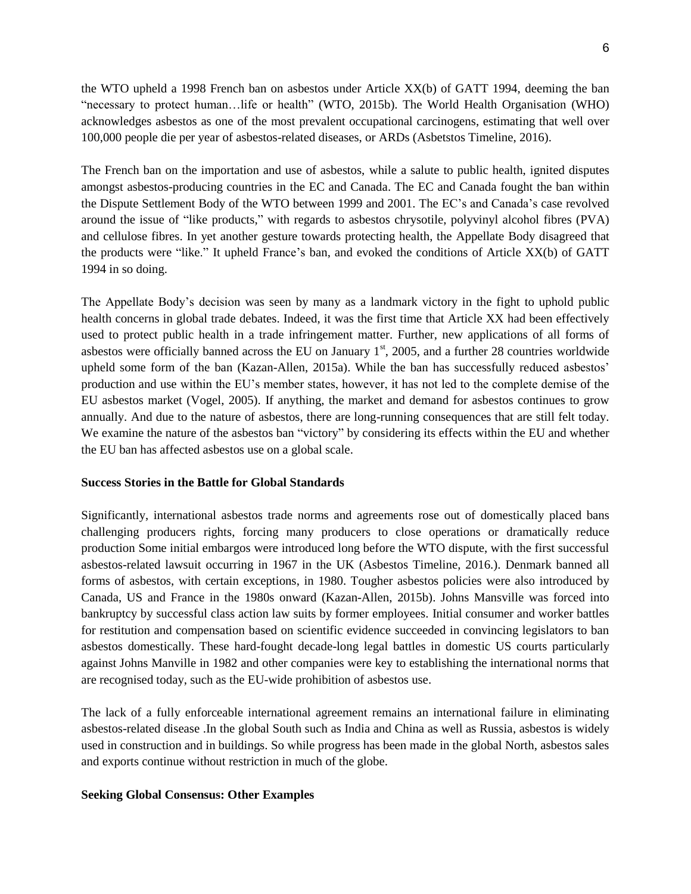the WTO upheld a 1998 French ban on asbestos under Article XX(b) of GATT 1994, deeming the ban "necessary to protect human…life or health" (WTO, 2015b). The World Health Organisation (WHO) acknowledges asbestos as one of the most prevalent occupational carcinogens, estimating that well over 100,000 people die per year of asbestos-related diseases, or ARDs (Asbetstos Timeline, 2016).

The French ban on the importation and use of asbestos, while a salute to public health, ignited disputes amongst asbestos-producing countries in the EC and Canada. The EC and Canada fought the ban within the Dispute Settlement Body of the WTO between 1999 and 2001. The EC's and Canada's case revolved around the issue of "like products," with regards to asbestos chrysotile, polyvinyl alcohol fibres (PVA) and cellulose fibres. In yet another gesture towards protecting health, the Appellate Body disagreed that the products were "like." It upheld France's ban, and evoked the conditions of Article XX(b) of GATT 1994 in so doing.

The Appellate Body's decision was seen by many as a landmark victory in the fight to uphold public health concerns in global trade debates. Indeed, it was the first time that Article XX had been effectively used to protect public health in a trade infringement matter. Further, new applications of all forms of asbestos were officially banned across the EU on January  $1<sup>st</sup>$ , 2005, and a further 28 countries worldwide upheld some form of the ban (Kazan-Allen, 2015a). While the ban has successfully reduced asbestos' production and use within the EU's member states, however, it has not led to the complete demise of the EU asbestos market (Vogel, 2005). If anything, the market and demand for asbestos continues to grow annually. And due to the nature of asbestos, there are long-running consequences that are still felt today. We examine the nature of the asbestos ban "victory" by considering its effects within the EU and whether the EU ban has affected asbestos use on a global scale.

#### **Success Stories in the Battle for Global Standards**

Significantly, international asbestos trade norms and agreements rose out of domestically placed bans challenging producers rights, forcing many producers to close operations or dramatically reduce production Some initial embargos were introduced long before the WTO dispute, with the first successful asbestos-related lawsuit occurring in 1967 in the UK (Asbestos Timeline, 2016.). Denmark banned all forms of asbestos, with certain exceptions, in 1980. Tougher asbestos policies were also introduced by Canada, US and France in the 1980s onward (Kazan-Allen, 2015b). Johns Mansville was forced into bankruptcy by successful class action law suits by former employees. Initial consumer and worker battles for restitution and compensation based on scientific evidence succeeded in convincing legislators to ban asbestos domestically. These hard-fought decade-long legal battles in domestic US courts particularly against Johns Manville in 1982 and other companies were key to establishing the international norms that are recognised today, such as the EU-wide prohibition of asbestos use.

The lack of a fully enforceable international agreement remains an international failure in eliminating asbestos-related disease .In the global South such as India and China as well as Russia, asbestos is widely used in construction and in buildings. So while progress has been made in the global North, asbestos sales and exports continue without restriction in much of the globe.

#### **Seeking Global Consensus: Other Examples**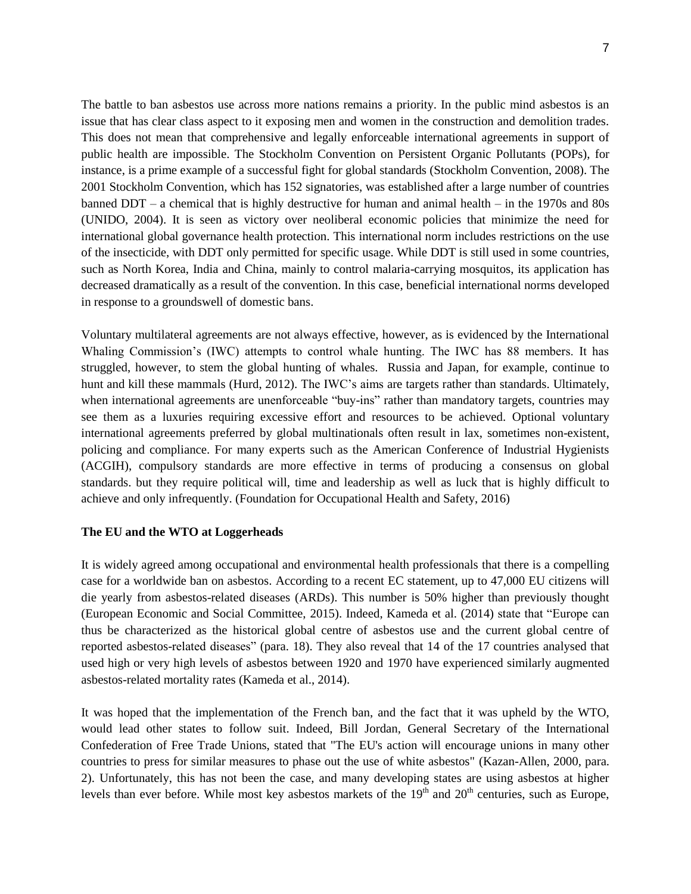The battle to ban asbestos use across more nations remains a priority. In the public mind asbestos is an issue that has clear class aspect to it exposing men and women in the construction and demolition trades. This does not mean that comprehensive and legally enforceable international agreements in support of public health are impossible. The Stockholm Convention on Persistent Organic Pollutants (POPs), for instance, is a prime example of a successful fight for global standards (Stockholm Convention, 2008). The 2001 Stockholm Convention, which has 152 signatories, was established after a large number of countries banned DDT – a chemical that is highly destructive for human and animal health – in the 1970s and 80s (UNIDO, 2004). It is seen as victory over neoliberal economic policies that minimize the need for international global governance health protection. This international norm includes restrictions on the use of the insecticide, with DDT only permitted for specific usage. While DDT is still used in some countries, such as North Korea, India and China, mainly to control malaria-carrying mosquitos, its application has decreased dramatically as a result of the convention. In this case, beneficial international norms developed in response to a groundswell of domestic bans.

Voluntary multilateral agreements are not always effective, however, as is evidenced by the International Whaling Commission's (IWC) attempts to control whale hunting. The IWC has 88 members. It has struggled, however, to stem the global hunting of whales. Russia and Japan, for example, continue to hunt and kill these mammals (Hurd, 2012). The IWC's aims are targets rather than standards. Ultimately, when international agreements are unenforceable "buy-ins" rather than mandatory targets, countries may see them as a luxuries requiring excessive effort and resources to be achieved. Optional voluntary international agreements preferred by global multinationals often result in lax, sometimes non-existent, policing and compliance. For many experts such as the American Conference of Industrial Hygienists (ACGIH), compulsory standards are more effective in terms of producing a consensus on global standards. but they require political will, time and leadership as well as luck that is highly difficult to achieve and only infrequently. (Foundation for Occupational Health and Safety, 2016)

### **The EU and the WTO at Loggerheads**

It is widely agreed among occupational and environmental health professionals that there is a compelling case for a worldwide ban on asbestos. According to a recent EC statement, up to 47,000 EU citizens will die yearly from asbestos-related diseases (ARDs). This number is 50% higher than previously thought (European Economic and Social Committee, 2015). Indeed, Kameda et al. (2014) state that "Europe can thus be characterized as the historical global centre of asbestos use and the current global centre of reported asbestos-related diseases" (para. 18). They also reveal that 14 of the 17 countries analysed that used high or very high levels of asbestos between 1920 and 1970 have experienced similarly augmented asbestos-related mortality rates (Kameda et al., 2014).

It was hoped that the implementation of the French ban, and the fact that it was upheld by the WTO, would lead other states to follow suit. Indeed, Bill Jordan, General Secretary of the International Confederation of Free Trade Unions, stated that "The EU's action will encourage unions in many other countries to press for similar measures to phase out the use of white asbestos" (Kazan-Allen, 2000, para. 2). Unfortunately, this has not been the case, and many developing states are using asbestos at higher levels than ever before. While most key asbestos markets of the  $19<sup>th</sup>$  and  $20<sup>th</sup>$  centuries, such as Europe,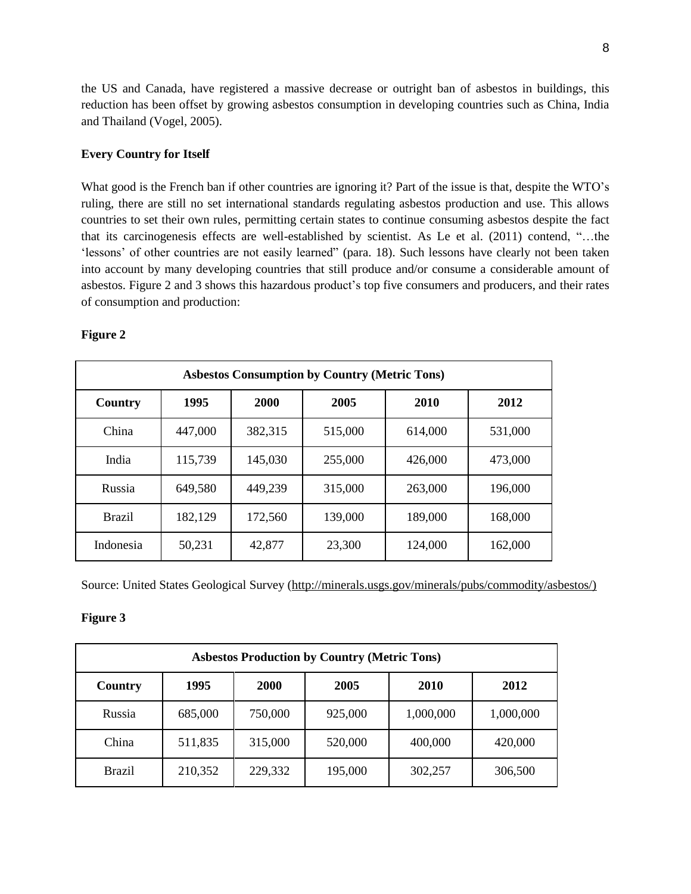the US and Canada, have registered a massive decrease or outright ban of asbestos in buildings, this reduction has been offset by growing asbestos consumption in developing countries such as China, India and Thailand (Vogel, 2005).

### **Every Country for Itself**

What good is the French ban if other countries are ignoring it? Part of the issue is that, despite the WTO's ruling, there are still no set international standards regulating asbestos production and use. This allows countries to set their own rules, permitting certain states to continue consuming asbestos despite the fact that its carcinogenesis effects are well-established by scientist. As Le et al. (2011) contend, "…the 'lessons' of other countries are not easily learned" (para. 18). Such lessons have clearly not been taken into account by many developing countries that still produce and/or consume a considerable amount of asbestos. Figure 2 and 3 shows this hazardous product's top five consumers and producers, and their rates of consumption and production:

| <b>Asbestos Consumption by Country (Metric Tons)</b> |         |         |         |         |         |  |  |  |
|------------------------------------------------------|---------|---------|---------|---------|---------|--|--|--|
| Country                                              | 1995    | 2000    | 2005    | 2010    | 2012    |  |  |  |
| China                                                | 447,000 | 382,315 | 515,000 | 614,000 | 531,000 |  |  |  |
| India                                                | 115,739 | 145,030 | 255,000 | 426,000 | 473,000 |  |  |  |
| Russia                                               | 649,580 | 449,239 | 315,000 | 263,000 | 196,000 |  |  |  |
| <b>Brazil</b>                                        | 182,129 | 172,560 | 139,000 | 189,000 | 168,000 |  |  |  |
| Indonesia                                            | 50,231  | 42,877  | 23,300  | 124,000 | 162,000 |  |  |  |

## **Figure 2**

Source: United States Geological Survey [\(http://minerals.usgs.gov/minerals/pubs/commodity/asbestos/\)](http://minerals.usgs.gov/minerals/pubs/commodity/asbestos/))

### **Figure 3**

| <b>Asbestos Production by Country (Metric Tons)</b>    |         |         |         |           |           |  |  |  |
|--------------------------------------------------------|---------|---------|---------|-----------|-----------|--|--|--|
| 1995<br>2010<br><b>2000</b><br>2005<br>2012<br>Country |         |         |         |           |           |  |  |  |
| Russia                                                 | 685,000 | 750,000 | 925,000 | 1,000,000 | 1,000,000 |  |  |  |
| China                                                  | 511,835 | 315,000 | 520,000 | 400,000   | 420,000   |  |  |  |
| <b>Brazil</b>                                          | 210,352 | 229,332 | 195,000 | 302,257   | 306,500   |  |  |  |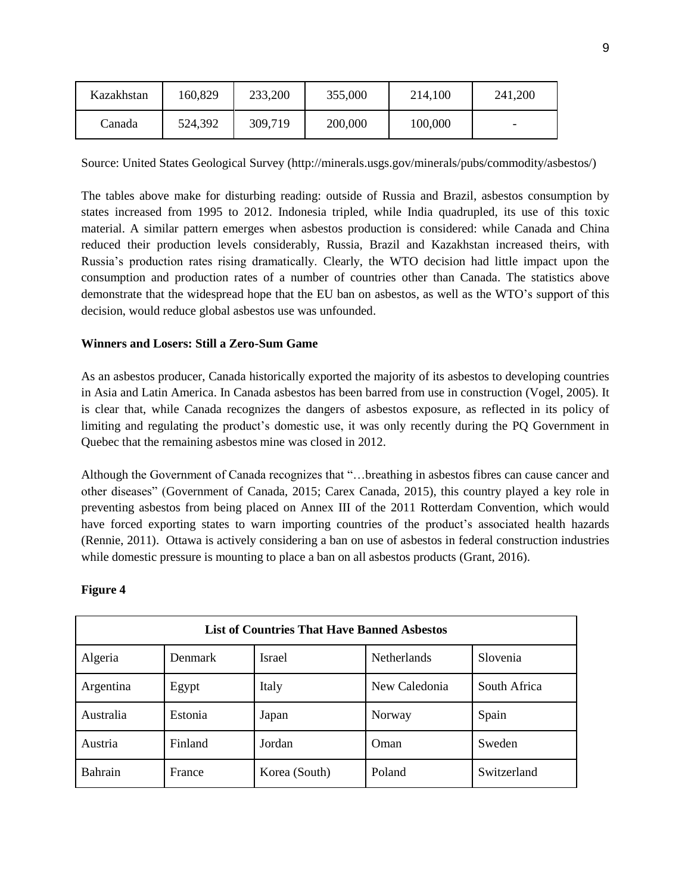| Kazakhstan | 160,829 | 233,200 | 355,000 | 214,100 | 241,200 |
|------------|---------|---------|---------|---------|---------|
| Canada     | 524,392 | 309,719 | 200,000 | 100,000 |         |

Source: United States Geological Survey (http://minerals.usgs.gov/minerals/pubs/commodity/asbestos/)

The tables above make for disturbing reading: outside of Russia and Brazil, asbestos consumption by states increased from 1995 to 2012. Indonesia tripled, while India quadrupled, its use of this toxic material. A similar pattern emerges when asbestos production is considered: while Canada and China reduced their production levels considerably, Russia, Brazil and Kazakhstan increased theirs, with Russia's production rates rising dramatically. Clearly, the WTO decision had little impact upon the consumption and production rates of a number of countries other than Canada. The statistics above demonstrate that the widespread hope that the EU ban on asbestos, as well as the WTO's support of this decision, would reduce global asbestos use was unfounded.

# **Winners and Losers: Still a Zero-Sum Game**

As an asbestos producer, Canada historically exported the majority of its asbestos to developing countries in Asia and Latin America. In Canada asbestos has been barred from use in construction (Vogel, 2005). It is clear that, while Canada recognizes the dangers of asbestos exposure, as reflected in its policy of limiting and regulating the product's domestic use, it was only recently during the PQ Government in Quebec that the remaining asbestos mine was closed in 2012.

Although the Government of Canada recognizes that "…breathing in asbestos fibres can cause cancer and other diseases" (Government of Canada, 2015; Carex Canada, 2015), this country played a key role in preventing asbestos from being placed on Annex III of the 2011 Rotterdam Convention, which would have forced exporting states to warn importing countries of the product's associated health hazards (Rennie, 2011). Ottawa is actively considering a ban on use of asbestos in federal construction industries while domestic pressure is mounting to place a ban on all asbestos products (Grant, 2016).

| <b>List of Countries That Have Banned Asbestos</b> |                |               |                    |              |  |  |  |
|----------------------------------------------------|----------------|---------------|--------------------|--------------|--|--|--|
| Algeria                                            | <b>Denmark</b> | Israel        | <b>Netherlands</b> | Slovenia     |  |  |  |
| Argentina                                          | Egypt          | Italy         | New Caledonia      | South Africa |  |  |  |
| Australia                                          | Estonia        | Japan         | Norway             | Spain        |  |  |  |
| Austria                                            | Finland        | Jordan        | Oman               | Sweden       |  |  |  |
| <b>Bahrain</b>                                     | France         | Korea (South) | Poland             | Switzerland  |  |  |  |

## **Figure 4**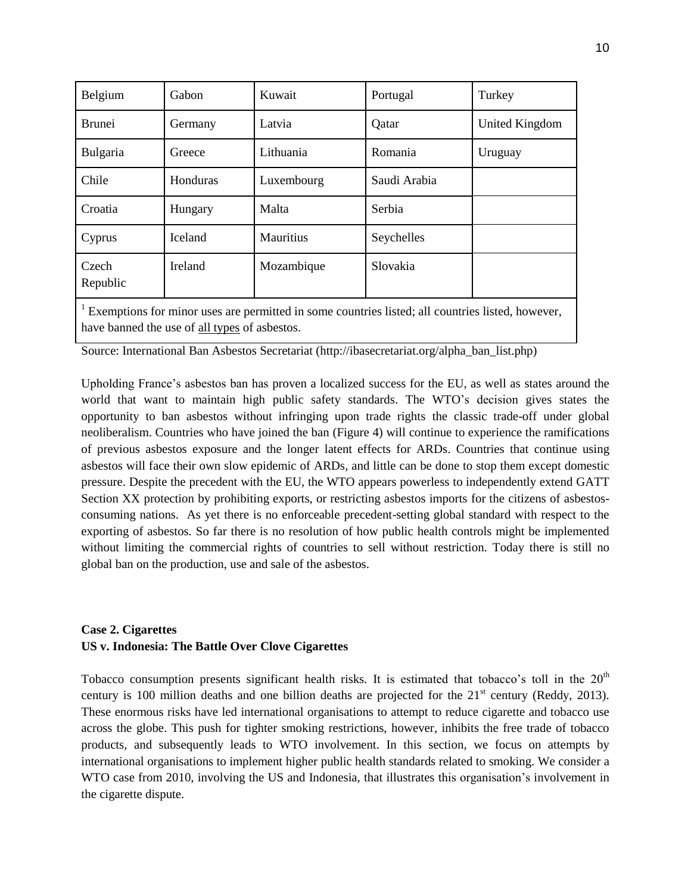| Belgium           | Gabon    | Kuwait           | Portugal     | Turkey         |
|-------------------|----------|------------------|--------------|----------------|
| <b>Brunei</b>     | Germany  | Latvia           | Qatar        | United Kingdom |
| Bulgaria          | Greece   | Lithuania        | Romania      | Uruguay        |
| Chile             | Honduras | Luxembourg       | Saudi Arabia |                |
| Croatia           | Hungary  | Malta            | Serbia       |                |
| Cyprus            | Iceland  | <b>Mauritius</b> | Seychelles   |                |
| Czech<br>Republic | Ireland  | Mozambique       | Slovakia     |                |

<sup>1</sup> Exemptions for minor uses are permitted in some countries listed; all countries listed, however, have banned the use of all types of asbestos.

Source: International Ban Asbestos Secretariat (http://ibasecretariat.org/alpha\_ban\_list.php)

Upholding France's asbestos ban has proven a localized success for the EU, as well as states around the world that want to maintain high public safety standards. The WTO's decision gives states the opportunity to ban asbestos without infringing upon trade rights the classic trade-off under global neoliberalism. Countries who have joined the ban (Figure 4) will continue to experience the ramifications of previous asbestos exposure and the longer latent effects for ARDs. Countries that continue using asbestos will face their own slow epidemic of ARDs, and little can be done to stop them except domestic pressure. Despite the precedent with the EU, the WTO appears powerless to independently extend GATT Section XX protection by prohibiting exports, or restricting asbestos imports for the citizens of asbestosconsuming nations. As yet there is no enforceable precedent-setting global standard with respect to the exporting of asbestos. So far there is no resolution of how public health controls might be implemented without limiting the commercial rights of countries to sell without restriction. Today there is still no global ban on the production, use and sale of the asbestos.

## **Case 2. Cigarettes US v. Indonesia: The Battle Over Clove Cigarettes**

Tobacco consumption presents significant health risks. It is estimated that tobacco's toll in the  $20<sup>th</sup>$ century is 100 million deaths and one billion deaths are projected for the  $21<sup>st</sup>$  century (Reddy, 2013). These enormous risks have led international organisations to attempt to reduce cigarette and tobacco use across the globe. This push for tighter smoking restrictions, however, inhibits the free trade of tobacco products, and subsequently leads to WTO involvement. In this section, we focus on attempts by international organisations to implement higher public health standards related to smoking. We consider a WTO case from 2010, involving the US and Indonesia, that illustrates this organisation's involvement in the cigarette dispute.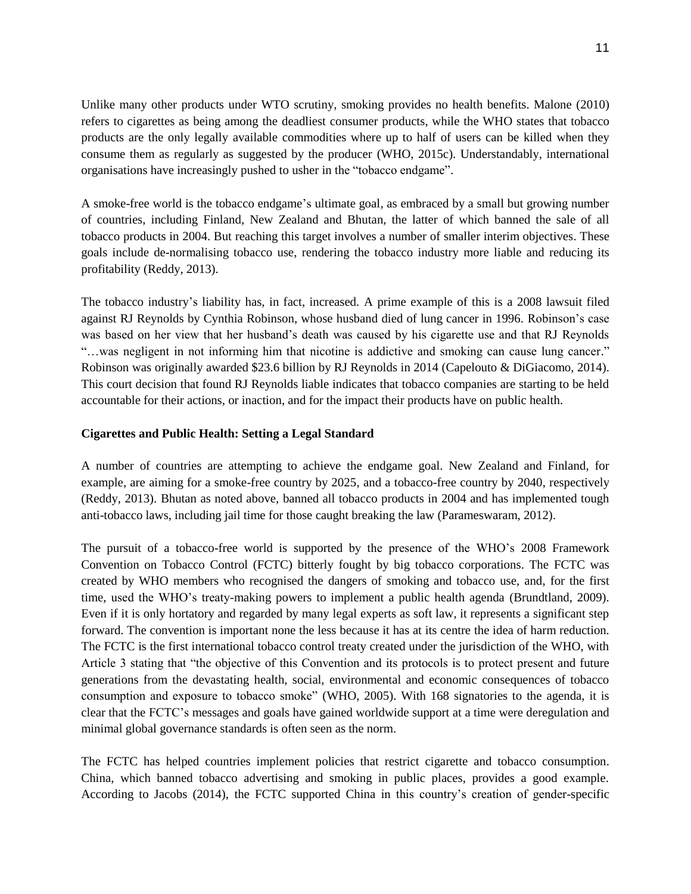Unlike many other products under WTO scrutiny, smoking provides no health benefits. Malone (2010) refers to cigarettes as being among the deadliest consumer products, while the WHO states that tobacco products are the only legally available commodities where up to half of users can be killed when they consume them as regularly as suggested by the producer (WHO, 2015c). Understandably, international organisations have increasingly pushed to usher in the "tobacco endgame".

A smoke-free world is the tobacco endgame's ultimate goal, as embraced by a small but growing number of countries, including Finland, New Zealand and Bhutan, the latter of which banned the sale of all tobacco products in 2004. But reaching this target involves a number of smaller interim objectives. These goals include de-normalising tobacco use, rendering the tobacco industry more liable and reducing its profitability (Reddy, 2013).

The tobacco industry's liability has, in fact, increased. A prime example of this is a 2008 lawsuit filed against RJ Reynolds by Cynthia Robinson, whose husband died of lung cancer in 1996. Robinson's case was based on her view that her husband's death was caused by his cigarette use and that RJ Reynolds "…was negligent in not informing him that nicotine is addictive and smoking can cause lung cancer." Robinson was originally awarded \$23.6 billion by RJ Reynolds in 2014 (Capelouto & DiGiacomo, 2014). This court decision that found RJ Reynolds liable indicates that tobacco companies are starting to be held accountable for their actions, or inaction, and for the impact their products have on public health.

### **Cigarettes and Public Health: Setting a Legal Standard**

A number of countries are attempting to achieve the endgame goal. New Zealand and Finland, for example, are aiming for a smoke-free country by 2025, and a tobacco-free country by 2040, respectively (Reddy, 2013). Bhutan as noted above, banned all tobacco products in 2004 and has implemented tough anti-tobacco laws, including jail time for those caught breaking the law (Parameswaram, 2012).

The pursuit of a tobacco-free world is supported by the presence of the WHO's 2008 Framework Convention on Tobacco Control (FCTC) bitterly fought by big tobacco corporations. The FCTC was created by WHO members who recognised the dangers of smoking and tobacco use, and, for the first time, used the WHO's treaty-making powers to implement a public health agenda (Brundtland, 2009). Even if it is only hortatory and regarded by many legal experts as soft law, it represents a significant step forward. The convention is important none the less because it has at its centre the idea of harm reduction. The FCTC is the first international tobacco control treaty created under the jurisdiction of the WHO, with Article 3 stating that "the objective of this Convention and its protocols is to protect present and future generations from the devastating health, social, environmental and economic consequences of tobacco consumption and exposure to tobacco smoke" (WHO, 2005). With 168 signatories to the agenda, it is clear that the FCTC's messages and goals have gained worldwide support at a time were deregulation and minimal global governance standards is often seen as the norm.

The FCTC has helped countries implement policies that restrict cigarette and tobacco consumption. China, which banned tobacco advertising and smoking in public places, provides a good example. According to Jacobs (2014), the FCTC supported China in this country's creation of gender-specific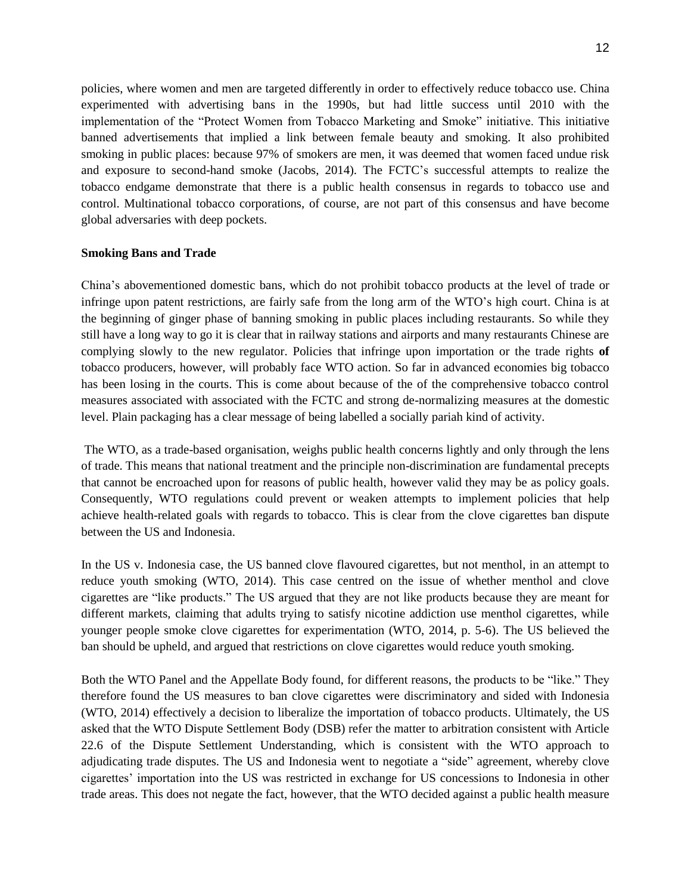policies, where women and men are targeted differently in order to effectively reduce tobacco use. China experimented with advertising bans in the 1990s, but had little success until 2010 with the implementation of the "Protect Women from Tobacco Marketing and Smoke" initiative. This initiative banned advertisements that implied a link between female beauty and smoking. It also prohibited smoking in public places: because 97% of smokers are men, it was deemed that women faced undue risk and exposure to second-hand smoke (Jacobs, 2014). The FCTC's successful attempts to realize the tobacco endgame demonstrate that there is a public health consensus in regards to tobacco use and control. Multinational tobacco corporations, of course, are not part of this consensus and have become global adversaries with deep pockets.

#### **Smoking Bans and Trade**

China's abovementioned domestic bans, which do not prohibit tobacco products at the level of trade or infringe upon patent restrictions, are fairly safe from the long arm of the WTO's high court. China is at the beginning of ginger phase of banning smoking in public places including restaurants. So while they still have a long way to go it is clear that in railway stations and airports and many restaurants Chinese are complying slowly to the new regulator. Policies that infringe upon importation or the trade rights **of** tobacco producers, however, will probably face WTO action. So far in advanced economies big tobacco has been losing in the courts. This is come about because of the of the comprehensive tobacco control measures associated with associated with the FCTC and strong de-normalizing measures at the domestic level. Plain packaging has a clear message of being labelled a socially pariah kind of activity.

The WTO, as a trade-based organisation, weighs public health concerns lightly and only through the lens of trade. This means that national treatment and the principle non-discrimination are fundamental precepts that cannot be encroached upon for reasons of public health, however valid they may be as policy goals. Consequently, WTO regulations could prevent or weaken attempts to implement policies that help achieve health-related goals with regards to tobacco. This is clear from the clove cigarettes ban dispute between the US and Indonesia.

In the US v. Indonesia case, the US banned clove flavoured cigarettes, but not menthol, in an attempt to reduce youth smoking (WTO, 2014). This case centred on the issue of whether menthol and clove cigarettes are "like products." The US argued that they are not like products because they are meant for different markets, claiming that adults trying to satisfy nicotine addiction use menthol cigarettes, while younger people smoke clove cigarettes for experimentation (WTO, 2014, p. 5-6). The US believed the ban should be upheld, and argued that restrictions on clove cigarettes would reduce youth smoking.

Both the WTO Panel and the Appellate Body found, for different reasons, the products to be "like." They therefore found the US measures to ban clove cigarettes were discriminatory and sided with Indonesia (WTO, 2014) effectively a decision to liberalize the importation of tobacco products. Ultimately, the US asked that the WTO Dispute Settlement Body (DSB) refer the matter to arbitration consistent with Article 22.6 of the Dispute Settlement Understanding, which is consistent with the WTO approach to adjudicating trade disputes. The US and Indonesia went to negotiate a "side" agreement, whereby clove cigarettes' importation into the US was restricted in exchange for US concessions to Indonesia in other trade areas. This does not negate the fact, however, that the WTO decided against a public health measure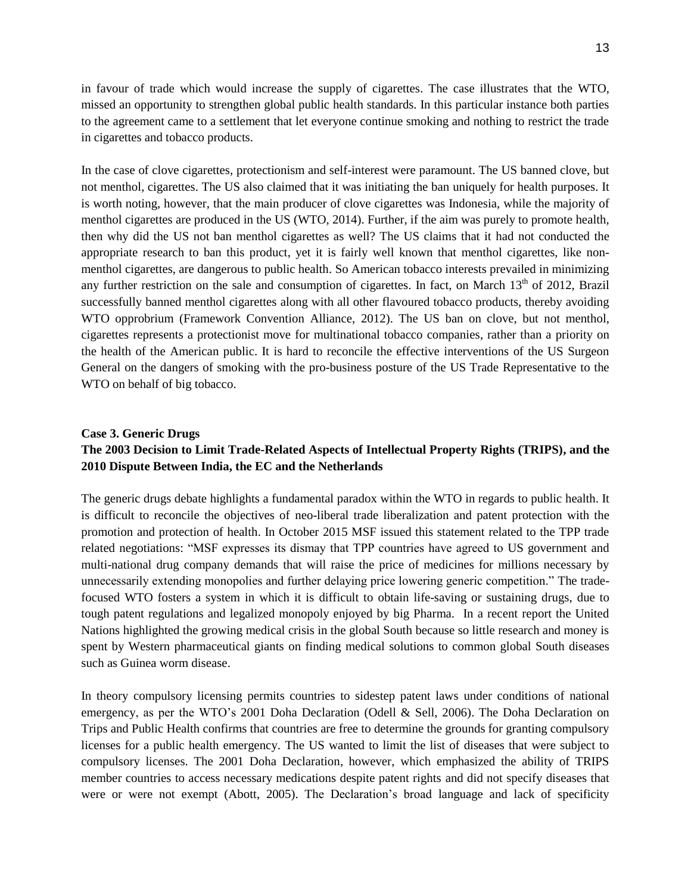in favour of trade which would increase the supply of cigarettes. The case illustrates that the WTO, missed an opportunity to strengthen global public health standards. In this particular instance both parties to the agreement came to a settlement that let everyone continue smoking and nothing to restrict the trade in cigarettes and tobacco products.

In the case of clove cigarettes, protectionism and self-interest were paramount. The US banned clove, but not menthol, cigarettes. The US also claimed that it was initiating the ban uniquely for health purposes. It is worth noting, however, that the main producer of clove cigarettes was Indonesia, while the majority of menthol cigarettes are produced in the US (WTO, 2014). Further, if the aim was purely to promote health, then why did the US not ban menthol cigarettes as well? The US claims that it had not conducted the appropriate research to ban this product, yet it is fairly well known that menthol cigarettes, like nonmenthol cigarettes, are dangerous to public health. So American tobacco interests prevailed in minimizing any further restriction on the sale and consumption of cigarettes. In fact, on March  $13<sup>th</sup>$  of 2012, Brazil successfully banned menthol cigarettes along with all other flavoured tobacco products, thereby avoiding WTO opprobrium (Framework Convention Alliance, 2012). The US ban on clove, but not menthol, cigarettes represents a protectionist move for multinational tobacco companies, rather than a priority on the health of the American public. It is hard to reconcile the effective interventions of the US Surgeon General on the dangers of smoking with the pro-business posture of the US Trade Representative to the WTO on behalf of big tobacco.

# **Case 3. Generic Drugs The 2003 Decision to Limit Trade-Related Aspects of Intellectual Property Rights (TRIPS), and the 2010 Dispute Between India, the EC and the Netherlands**

The generic drugs debate highlights a fundamental paradox within the WTO in regards to public health. It is difficult to reconcile the objectives of neo-liberal trade liberalization and patent protection with the promotion and protection of health. In October 2015 MSF issued this statement related to the TPP trade related negotiations: "MSF expresses its dismay that TPP countries have agreed to US government and multi-national drug company demands that will raise the price of medicines for millions necessary by unnecessarily extending monopolies and further delaying price lowering generic competition." The tradefocused WTO fosters a system in which it is difficult to obtain life-saving or sustaining drugs, due to tough patent regulations and legalized monopoly enjoyed by big Pharma. In a recent report the United Nations highlighted the growing medical crisis in the global South because so little research and money is spent by Western pharmaceutical giants on finding medical solutions to common global South diseases such as Guinea worm disease.

In theory compulsory licensing permits countries to sidestep patent laws under conditions of national emergency, as per the WTO's 2001 Doha Declaration (Odell & Sell, 2006). The Doha Declaration on Trips and Public Health confirms that countries are free to determine the grounds for granting compulsory licenses for a public health emergency. The US wanted to limit the list of diseases that were subject to compulsory licenses. The 2001 Doha Declaration, however, which emphasized the ability of TRIPS member countries to access necessary medications despite patent rights and did not specify diseases that were or were not exempt (Abott, 2005). The Declaration's broad language and lack of specificity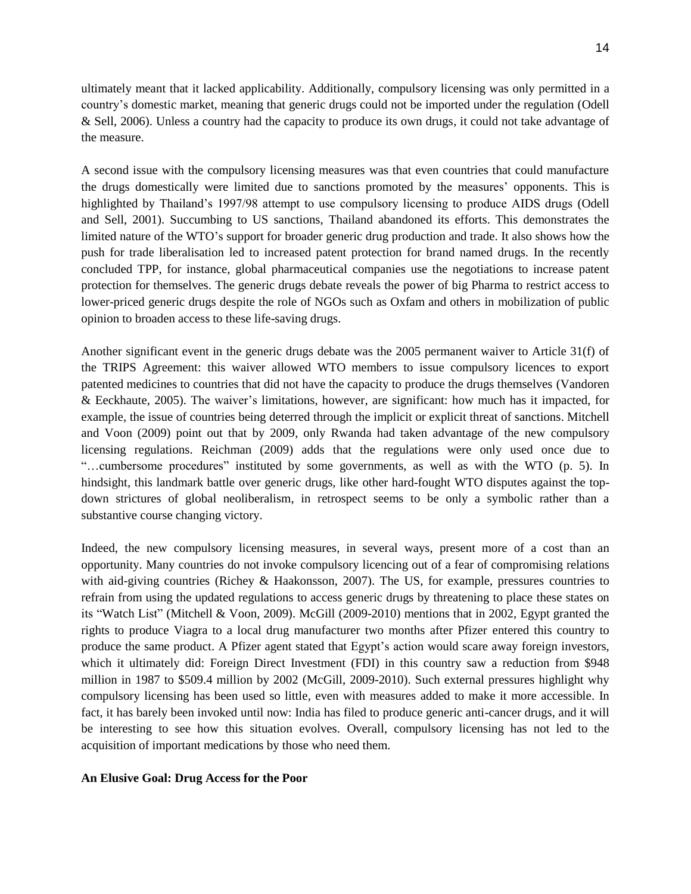ultimately meant that it lacked applicability. Additionally, compulsory licensing was only permitted in a country's domestic market, meaning that generic drugs could not be imported under the regulation (Odell & Sell, 2006). Unless a country had the capacity to produce its own drugs, it could not take advantage of the measure.

A second issue with the compulsory licensing measures was that even countries that could manufacture the drugs domestically were limited due to sanctions promoted by the measures' opponents. This is highlighted by Thailand's 1997/98 attempt to use compulsory licensing to produce AIDS drugs (Odell and Sell, 2001). Succumbing to US sanctions, Thailand abandoned its efforts. This demonstrates the limited nature of the WTO's support for broader generic drug production and trade. It also shows how the push for trade liberalisation led to increased patent protection for brand named drugs. In the recently concluded TPP, for instance, global pharmaceutical companies use the negotiations to increase patent protection for themselves. The generic drugs debate reveals the power of big Pharma to restrict access to lower-priced generic drugs despite the role of NGOs such as Oxfam and others in mobilization of public opinion to broaden access to these life-saving drugs.

Another significant event in the generic drugs debate was the 2005 permanent waiver to Article 31(f) of the TRIPS Agreement: this waiver allowed WTO members to issue compulsory licences to export patented medicines to countries that did not have the capacity to produce the drugs themselves (Vandoren & Eeckhaute, 2005). The waiver's limitations, however, are significant: how much has it impacted, for example, the issue of countries being deterred through the implicit or explicit threat of sanctions. Mitchell and Voon (2009) point out that by 2009, only Rwanda had taken advantage of the new compulsory licensing regulations. Reichman (2009) adds that the regulations were only used once due to "…cumbersome procedures" instituted by some governments, as well as with the WTO (p. 5). In hindsight, this landmark battle over generic drugs, like other hard-fought WTO disputes against the topdown strictures of global neoliberalism, in retrospect seems to be only a symbolic rather than a substantive course changing victory.

Indeed, the new compulsory licensing measures, in several ways, present more of a cost than an opportunity. Many countries do not invoke compulsory licencing out of a fear of compromising relations with aid-giving countries (Richey & Haakonsson, 2007). The US, for example, pressures countries to refrain from using the updated regulations to access generic drugs by threatening to place these states on its "Watch List" (Mitchell & Voon, 2009). McGill (2009-2010) mentions that in 2002, Egypt granted the rights to produce Viagra to a local drug manufacturer two months after Pfizer entered this country to produce the same product. A Pfizer agent stated that Egypt's action would scare away foreign investors, which it ultimately did: Foreign Direct Investment (FDI) in this country saw a reduction from \$948 million in 1987 to \$509.4 million by 2002 (McGill, 2009-2010). Such external pressures highlight why compulsory licensing has been used so little, even with measures added to make it more accessible. In fact, it has barely been invoked until now: India has filed to produce generic anti-cancer drugs, and it will be interesting to see how this situation evolves. Overall, compulsory licensing has not led to the acquisition of important medications by those who need them.

### **An Elusive Goal: Drug Access for the Poor**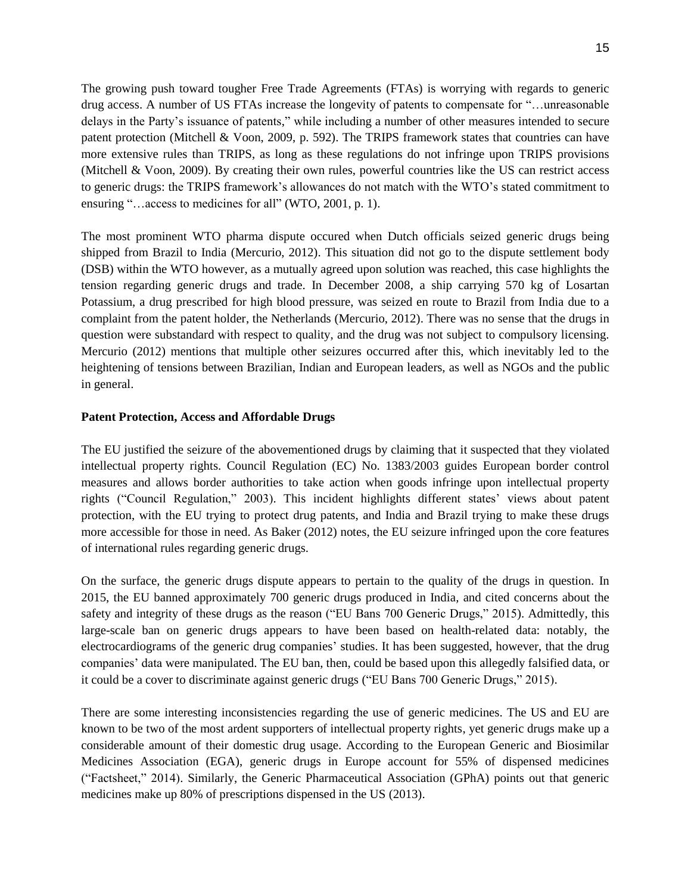The growing push toward tougher Free Trade Agreements (FTAs) is worrying with regards to generic drug access. A number of US FTAs increase the longevity of patents to compensate for "…unreasonable delays in the Party's issuance of patents," while including a number of other measures intended to secure patent protection (Mitchell & Voon, 2009, p. 592). The TRIPS framework states that countries can have more extensive rules than TRIPS, as long as these regulations do not infringe upon TRIPS provisions (Mitchell & Voon, 2009). By creating their own rules, powerful countries like the US can restrict access to generic drugs: the TRIPS framework's allowances do not match with the WTO's stated commitment to ensuring "…access to medicines for all" (WTO, 2001, p. 1).

The most prominent WTO pharma dispute occured when Dutch officials seized generic drugs being shipped from Brazil to India (Mercurio, 2012). This situation did not go to the dispute settlement body (DSB) within the WTO however, as a mutually agreed upon solution was reached, this case highlights the tension regarding generic drugs and trade. In December 2008, a ship carrying 570 kg of Losartan Potassium, a drug prescribed for high blood pressure, was seized en route to Brazil from India due to a complaint from the patent holder, the Netherlands (Mercurio, 2012). There was no sense that the drugs in question were substandard with respect to quality, and the drug was not subject to compulsory licensing. Mercurio (2012) mentions that multiple other seizures occurred after this, which inevitably led to the heightening of tensions between Brazilian, Indian and European leaders, as well as NGOs and the public in general.

### **Patent Protection, Access and Affordable Drugs**

The EU justified the seizure of the abovementioned drugs by claiming that it suspected that they violated intellectual property rights. Council Regulation (EC) No. 1383/2003 guides European border control measures and allows border authorities to take action when goods infringe upon intellectual property rights ("Council Regulation," 2003). This incident highlights different states' views about patent protection, with the EU trying to protect drug patents, and India and Brazil trying to make these drugs more accessible for those in need. As Baker (2012) notes, the EU seizure infringed upon the core features of international rules regarding generic drugs.

On the surface, the generic drugs dispute appears to pertain to the quality of the drugs in question. In 2015, the EU banned approximately 700 generic drugs produced in India, and cited concerns about the safety and integrity of these drugs as the reason ("EU Bans 700 Generic Drugs," 2015). Admittedly, this large-scale ban on generic drugs appears to have been based on health-related data: notably, the electrocardiograms of the generic drug companies' studies. It has been suggested, however, that the drug companies' data were manipulated. The EU ban, then, could be based upon this allegedly falsified data, or it could be a cover to discriminate against generic drugs ("EU Bans 700 Generic Drugs," 2015).

There are some interesting inconsistencies regarding the use of generic medicines. The US and EU are known to be two of the most ardent supporters of intellectual property rights, yet generic drugs make up a considerable amount of their domestic drug usage. According to the European Generic and Biosimilar Medicines Association (EGA), generic drugs in Europe account for 55% of dispensed medicines ("Factsheet," 2014). Similarly, the Generic Pharmaceutical Association (GPhA) points out that generic medicines make up 80% of prescriptions dispensed in the US (2013).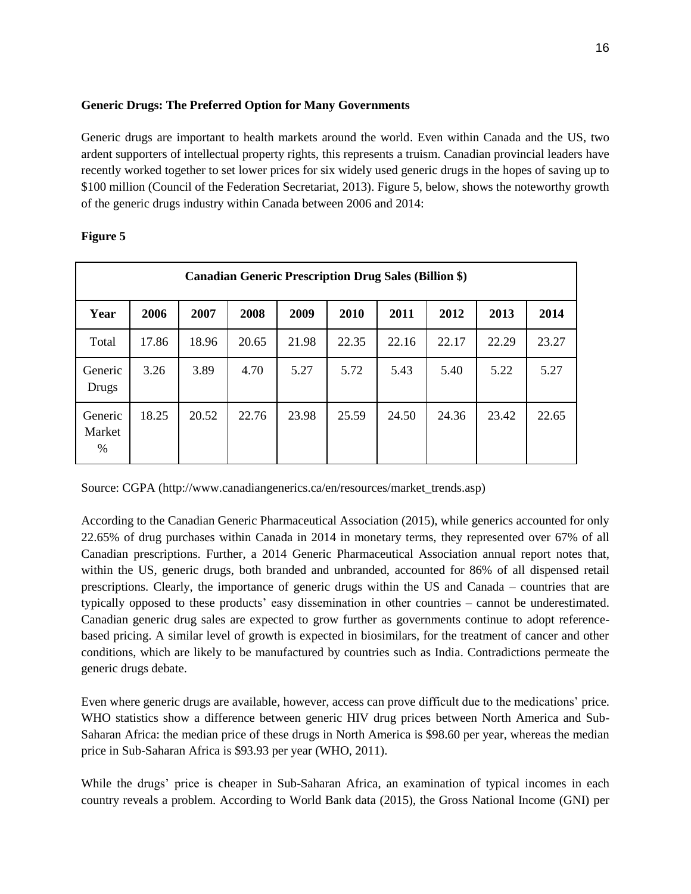## **Generic Drugs: The Preferred Option for Many Governments**

Generic drugs are important to health markets around the world. Even within Canada and the US, two ardent supporters of intellectual property rights, this represents a truism. Canadian provincial leaders have recently worked together to set lower prices for six widely used generic drugs in the hopes of saving up to \$100 million (Council of the Federation Secretariat, 2013). Figure 5, below, shows the noteworthy growth of the generic drugs industry within Canada between 2006 and 2014:

| <b>Canadian Generic Prescription Drug Sales (Billion \$)</b> |       |       |       |       |       |       |       |       |       |
|--------------------------------------------------------------|-------|-------|-------|-------|-------|-------|-------|-------|-------|
| Year                                                         | 2006  | 2007  | 2008  | 2009  | 2010  | 2011  | 2012  | 2013  | 2014  |
| Total                                                        | 17.86 | 18.96 | 20.65 | 21.98 | 22.35 | 22.16 | 22.17 | 22.29 | 23.27 |
| Generic<br>Drugs                                             | 3.26  | 3.89  | 4.70  | 5.27  | 5.72  | 5.43  | 5.40  | 5.22  | 5.27  |
| Generic<br>Market<br>%                                       | 18.25 | 20.52 | 22.76 | 23.98 | 25.59 | 24.50 | 24.36 | 23.42 | 22.65 |

# **Figure 5**

Source: CGPA (http://www.canadiangenerics.ca/en/resources/market\_trends.asp)

According to the Canadian Generic Pharmaceutical Association (2015), while generics accounted for only 22.65% of drug purchases within Canada in 2014 in monetary terms, they represented over 67% of all Canadian prescriptions. Further, a 2014 Generic Pharmaceutical Association annual report notes that, within the US, generic drugs, both branded and unbranded, accounted for 86% of all dispensed retail prescriptions. Clearly, the importance of generic drugs within the US and Canada – countries that are typically opposed to these products' easy dissemination in other countries – cannot be underestimated. Canadian generic drug sales are expected to grow further as governments continue to adopt referencebased pricing. A similar level of growth is expected in biosimilars, for the treatment of cancer and other conditions, which are likely to be manufactured by countries such as India. Contradictions permeate the generic drugs debate.

Even where generic drugs are available, however, access can prove difficult due to the medications' price. WHO statistics show a difference between generic HIV drug prices between North America and Sub-Saharan Africa: the median price of these drugs in North America is \$98.60 per year, whereas the median price in Sub-Saharan Africa is \$93.93 per year (WHO, 2011).

While the drugs' price is cheaper in Sub-Saharan Africa, an examination of typical incomes in each country reveals a problem. According to World Bank data (2015), the Gross National Income (GNI) per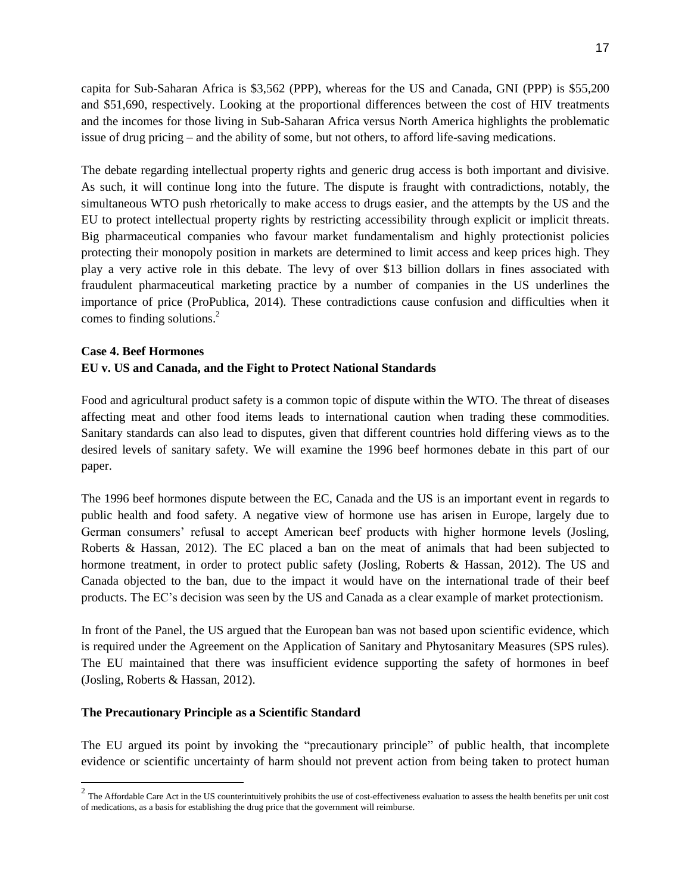capita for Sub-Saharan Africa is \$3,562 (PPP), whereas for the US and Canada, GNI (PPP) is \$55,200 and \$51,690, respectively. Looking at the proportional differences between the cost of HIV treatments and the incomes for those living in Sub-Saharan Africa versus North America highlights the problematic issue of drug pricing – and the ability of some, but not others, to afford life-saving medications.

The debate regarding intellectual property rights and generic drug access is both important and divisive. As such, it will continue long into the future. The dispute is fraught with contradictions, notably, the simultaneous WTO push rhetorically to make access to drugs easier, and the attempts by the US and the EU to protect intellectual property rights by restricting accessibility through explicit or implicit threats. Big pharmaceutical companies who favour market fundamentalism and highly protectionist policies protecting their monopoly position in markets are determined to limit access and keep prices high. They play a very active role in this debate. The levy of over \$13 billion dollars in fines associated with fraudulent pharmaceutical marketing practice by a number of companies in the US underlines the importance of price (ProPublica, 2014). These contradictions cause confusion and difficulties when it comes to finding solutions. 2

# **Case 4. Beef Hormones EU v. US and Canada, and the Fight to Protect National Standards**

Food and agricultural product safety is a common topic of dispute within the WTO. The threat of diseases affecting meat and other food items leads to international caution when trading these commodities. Sanitary standards can also lead to disputes, given that different countries hold differing views as to the desired levels of sanitary safety. We will examine the 1996 beef hormones debate in this part of our paper.

The 1996 beef hormones dispute between the EC, Canada and the US is an important event in regards to public health and food safety. A negative view of hormone use has arisen in Europe, largely due to German consumers' refusal to accept American beef products with higher hormone levels (Josling, Roberts & Hassan, 2012). The EC placed a ban on the meat of animals that had been subjected to hormone treatment, in order to protect public safety (Josling, Roberts & Hassan, 2012). The US and Canada objected to the ban, due to the impact it would have on the international trade of their beef products. The EC's decision was seen by the US and Canada as a clear example of market protectionism.

In front of the Panel, the US argued that the European ban was not based upon scientific evidence, which is required under the Agreement on the Application of Sanitary and Phytosanitary Measures (SPS rules). The EU maintained that there was insufficient evidence supporting the safety of hormones in beef (Josling, Roberts & Hassan, 2012).

### **The Precautionary Principle as a Scientific Standard**

 $\overline{a}$ 

The EU argued its point by invoking the "precautionary principle" of public health, that incomplete evidence or scientific uncertainty of harm should not prevent action from being taken to protect human

 $2$  The Affordable Care Act in the US counterintuitively prohibits the use of cost-effectiveness evaluation to assess the health benefits per unit cost of medications, as a basis for establishing the drug price that the government will reimburse.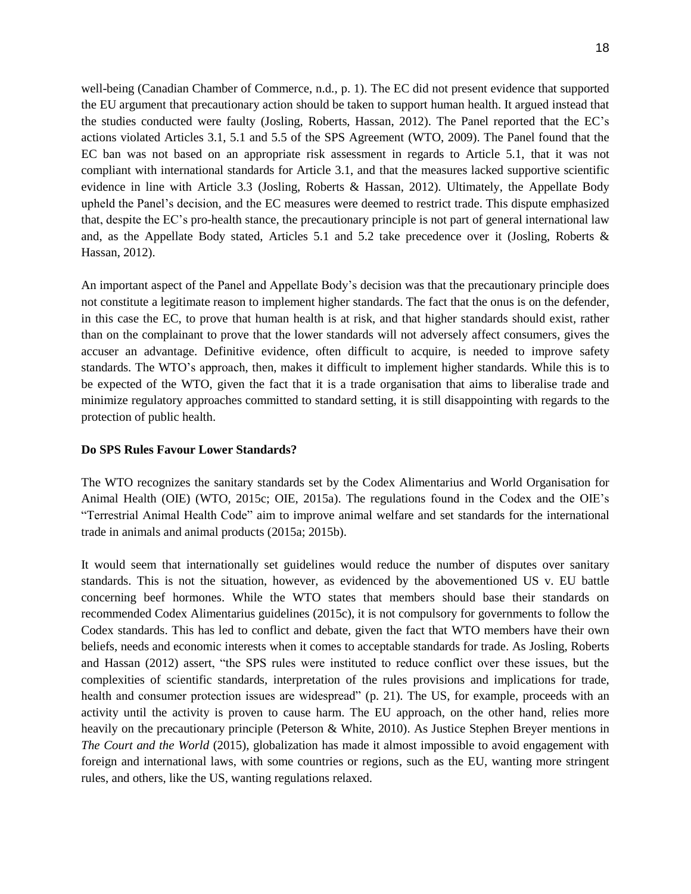well-being (Canadian Chamber of Commerce, n.d., p. 1). The EC did not present evidence that supported the EU argument that precautionary action should be taken to support human health. It argued instead that the studies conducted were faulty (Josling, Roberts, Hassan, 2012). The Panel reported that the EC's actions violated Articles 3.1, 5.1 and 5.5 of the SPS Agreement (WTO, 2009). The Panel found that the EC ban was not based on an appropriate risk assessment in regards to Article 5.1, that it was not compliant with international standards for Article 3.1, and that the measures lacked supportive scientific evidence in line with Article 3.3 (Josling, Roberts & Hassan, 2012). Ultimately, the Appellate Body upheld the Panel's decision, and the EC measures were deemed to restrict trade. This dispute emphasized that, despite the EC's pro-health stance, the precautionary principle is not part of general international law and, as the Appellate Body stated, Articles 5.1 and 5.2 take precedence over it (Josling, Roberts & Hassan, 2012).

An important aspect of the Panel and Appellate Body's decision was that the precautionary principle does not constitute a legitimate reason to implement higher standards. The fact that the onus is on the defender, in this case the EC, to prove that human health is at risk, and that higher standards should exist, rather than on the complainant to prove that the lower standards will not adversely affect consumers, gives the accuser an advantage. Definitive evidence, often difficult to acquire, is needed to improve safety standards. The WTO's approach, then, makes it difficult to implement higher standards. While this is to be expected of the WTO, given the fact that it is a trade organisation that aims to liberalise trade and minimize regulatory approaches committed to standard setting, it is still disappointing with regards to the protection of public health.

#### **Do SPS Rules Favour Lower Standards?**

The WTO recognizes the sanitary standards set by the Codex Alimentarius and World Organisation for Animal Health (OIE) (WTO, 2015c; OIE, 2015a). The regulations found in the Codex and the OIE's "Terrestrial Animal Health Code" aim to improve animal welfare and set standards for the international trade in animals and animal products (2015a; 2015b).

It would seem that internationally set guidelines would reduce the number of disputes over sanitary standards. This is not the situation, however, as evidenced by the abovementioned US v. EU battle concerning beef hormones. While the WTO states that members should base their standards on recommended Codex Alimentarius guidelines (2015c), it is not compulsory for governments to follow the Codex standards. This has led to conflict and debate, given the fact that WTO members have their own beliefs, needs and economic interests when it comes to acceptable standards for trade. As Josling, Roberts and Hassan (2012) assert, "the SPS rules were instituted to reduce conflict over these issues, but the complexities of scientific standards, interpretation of the rules provisions and implications for trade, health and consumer protection issues are widespread" (p. 21). The US, for example, proceeds with an activity until the activity is proven to cause harm. The EU approach, on the other hand, relies more heavily on the precautionary principle (Peterson & White, 2010). As Justice Stephen Breyer mentions in *The Court and the World* (2015), globalization has made it almost impossible to avoid engagement with foreign and international laws, with some countries or regions, such as the EU, wanting more stringent rules, and others, like the US, wanting regulations relaxed.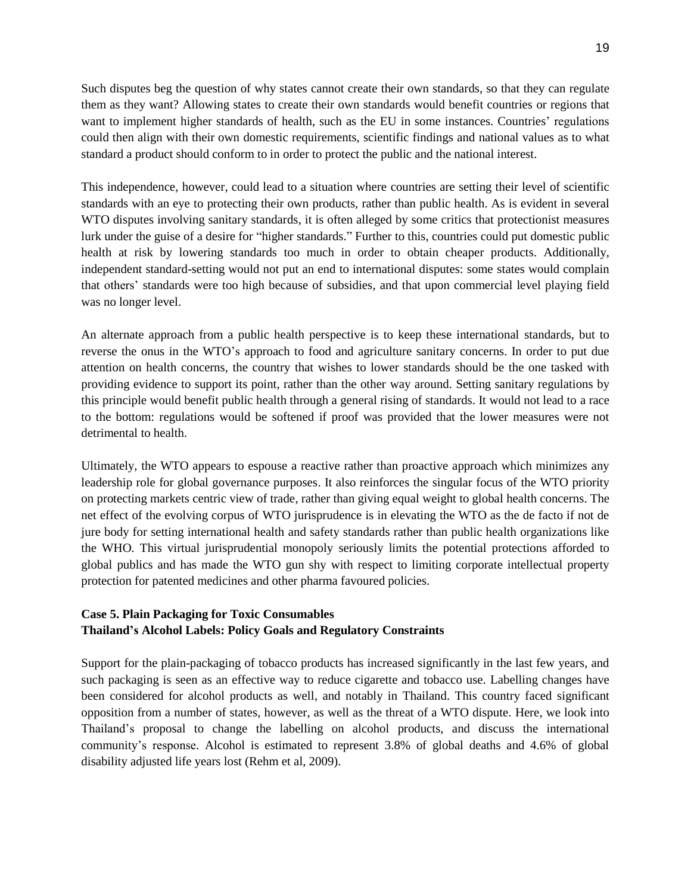Such disputes beg the question of why states cannot create their own standards, so that they can regulate them as they want? Allowing states to create their own standards would benefit countries or regions that want to implement higher standards of health, such as the EU in some instances. Countries' regulations could then align with their own domestic requirements, scientific findings and national values as to what standard a product should conform to in order to protect the public and the national interest.

This independence, however, could lead to a situation where countries are setting their level of scientific standards with an eye to protecting their own products, rather than public health. As is evident in several WTO disputes involving sanitary standards, it is often alleged by some critics that protectionist measures lurk under the guise of a desire for "higher standards." Further to this, countries could put domestic public health at risk by lowering standards too much in order to obtain cheaper products. Additionally, independent standard-setting would not put an end to international disputes: some states would complain that others' standards were too high because of subsidies, and that upon commercial level playing field was no longer level.

An alternate approach from a public health perspective is to keep these international standards, but to reverse the onus in the WTO's approach to food and agriculture sanitary concerns. In order to put due attention on health concerns, the country that wishes to lower standards should be the one tasked with providing evidence to support its point, rather than the other way around. Setting sanitary regulations by this principle would benefit public health through a general rising of standards. It would not lead to a race to the bottom: regulations would be softened if proof was provided that the lower measures were not detrimental to health.

Ultimately, the WTO appears to espouse a reactive rather than proactive approach which minimizes any leadership role for global governance purposes. It also reinforces the singular focus of the WTO priority on protecting markets centric view of trade, rather than giving equal weight to global health concerns. The net effect of the evolving corpus of WTO jurisprudence is in elevating the WTO as the de facto if not de jure body for setting international health and safety standards rather than public health organizations like the WHO. This virtual jurisprudential monopoly seriously limits the potential protections afforded to global publics and has made the WTO gun shy with respect to limiting corporate intellectual property protection for patented medicines and other pharma favoured policies.

# **Case 5. Plain Packaging for Toxic Consumables Thailand's Alcohol Labels: Policy Goals and Regulatory Constraints**

Support for the plain-packaging of tobacco products has increased significantly in the last few years, and such packaging is seen as an effective way to reduce cigarette and tobacco use. Labelling changes have been considered for alcohol products as well, and notably in Thailand. This country faced significant opposition from a number of states, however, as well as the threat of a WTO dispute. Here, we look into Thailand's proposal to change the labelling on alcohol products, and discuss the international community's response. Alcohol is estimated to represent 3.8% of global deaths and 4.6% of global disability adjusted life years lost (Rehm et al, 2009).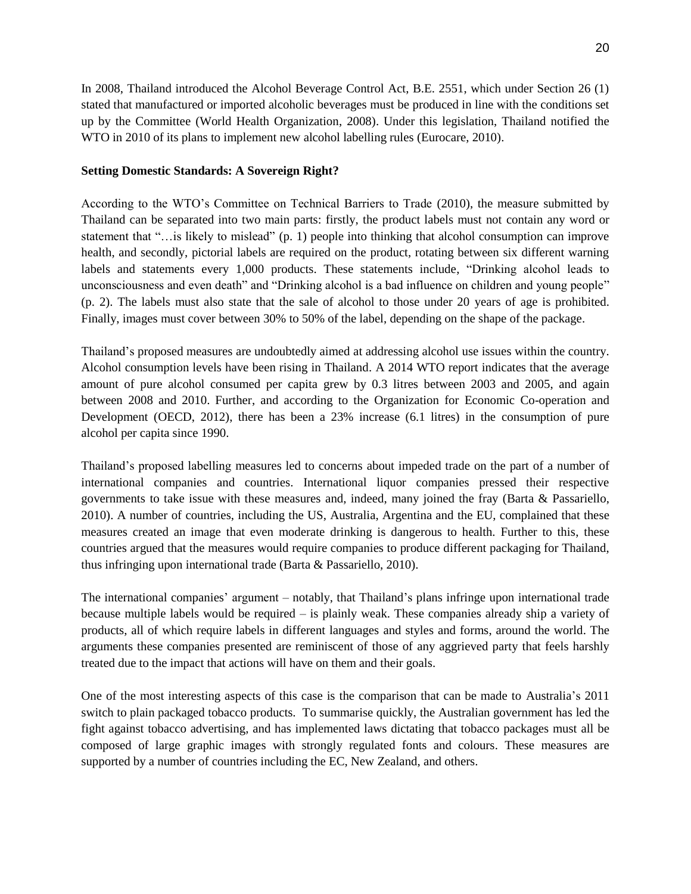In 2008, Thailand introduced the Alcohol Beverage Control Act, B.E. 2551, which under Section 26 (1) stated that manufactured or imported alcoholic beverages must be produced in line with the conditions set up by the Committee (World Health Organization, 2008). Under this legislation, Thailand notified the WTO in 2010 of its plans to implement new alcohol labelling rules (Eurocare, 2010).

### **Setting Domestic Standards: A Sovereign Right?**

According to the WTO's Committee on Technical Barriers to Trade (2010), the measure submitted by Thailand can be separated into two main parts: firstly, the product labels must not contain any word or statement that "…is likely to mislead" (p. 1) people into thinking that alcohol consumption can improve health, and secondly, pictorial labels are required on the product, rotating between six different warning labels and statements every 1,000 products. These statements include, "Drinking alcohol leads to unconsciousness and even death" and "Drinking alcohol is a bad influence on children and young people" (p. 2). The labels must also state that the sale of alcohol to those under 20 years of age is prohibited. Finally, images must cover between 30% to 50% of the label, depending on the shape of the package.

Thailand's proposed measures are undoubtedly aimed at addressing alcohol use issues within the country. Alcohol consumption levels have been rising in Thailand. A 2014 WTO report indicates that the average amount of pure alcohol consumed per capita grew by 0.3 litres between 2003 and 2005, and again between 2008 and 2010. Further, and according to the Organization for Economic Co-operation and Development (OECD, 2012), there has been a 23% increase (6.1 litres) in the consumption of pure alcohol per capita since 1990.

Thailand's proposed labelling measures led to concerns about impeded trade on the part of a number of international companies and countries. International liquor companies pressed their respective governments to take issue with these measures and, indeed, many joined the fray (Barta & Passariello, 2010). A number of countries, including the US, Australia, Argentina and the EU, complained that these measures created an image that even moderate drinking is dangerous to health. Further to this, these countries argued that the measures would require companies to produce different packaging for Thailand, thus infringing upon international trade (Barta & Passariello, 2010).

The international companies' argument – notably, that Thailand's plans infringe upon international trade because multiple labels would be required – is plainly weak. These companies already ship a variety of products, all of which require labels in different languages and styles and forms, around the world. The arguments these companies presented are reminiscent of those of any aggrieved party that feels harshly treated due to the impact that actions will have on them and their goals.

One of the most interesting aspects of this case is the comparison that can be made to Australia's 2011 switch to plain packaged tobacco products. To summarise quickly, the Australian government has led the fight against tobacco advertising, and has implemented laws dictating that tobacco packages must all be composed of large graphic images with strongly regulated fonts and colours. These measures are supported by a number of countries including the EC, New Zealand, and others.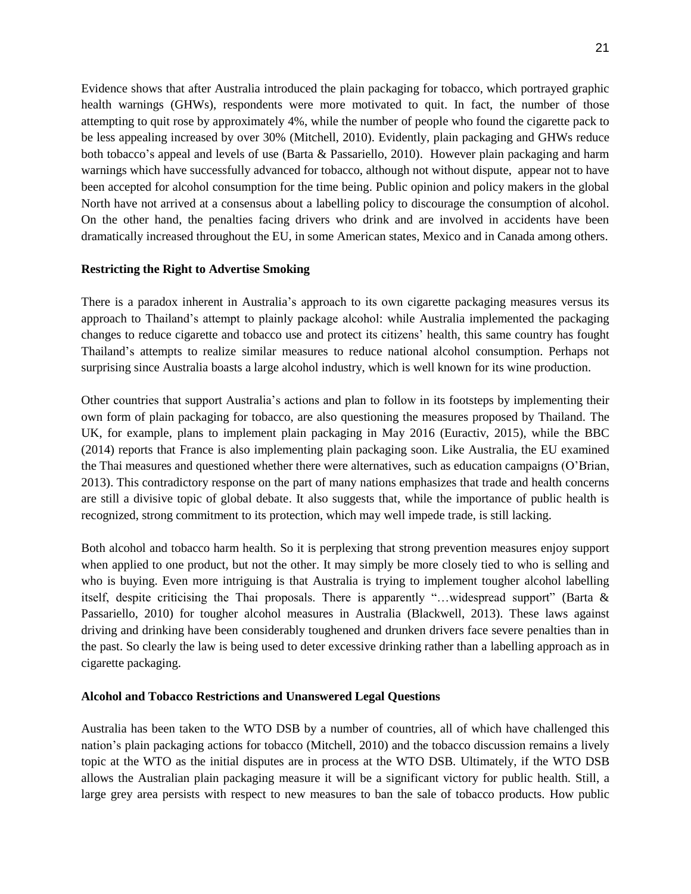Evidence shows that after Australia introduced the plain packaging for tobacco, which portrayed graphic health warnings (GHWs), respondents were more motivated to quit. In fact, the number of those attempting to quit rose by approximately 4%, while the number of people who found the cigarette pack to be less appealing increased by over 30% (Mitchell, 2010). Evidently, plain packaging and GHWs reduce both tobacco's appeal and levels of use (Barta & Passariello, 2010). However plain packaging and harm warnings which have successfully advanced for tobacco, although not without dispute, appear not to have been accepted for alcohol consumption for the time being. Public opinion and policy makers in the global North have not arrived at a consensus about a labelling policy to discourage the consumption of alcohol. On the other hand, the penalties facing drivers who drink and are involved in accidents have been dramatically increased throughout the EU, in some American states, Mexico and in Canada among others.

### **Restricting the Right to Advertise Smoking**

There is a paradox inherent in Australia's approach to its own cigarette packaging measures versus its approach to Thailand's attempt to plainly package alcohol: while Australia implemented the packaging changes to reduce cigarette and tobacco use and protect its citizens' health, this same country has fought Thailand's attempts to realize similar measures to reduce national alcohol consumption. Perhaps not surprising since Australia boasts a large alcohol industry, which is well known for its wine production.

Other countries that support Australia's actions and plan to follow in its footsteps by implementing their own form of plain packaging for tobacco, are also questioning the measures proposed by Thailand. The UK, for example, plans to implement plain packaging in May 2016 (Euractiv, 2015), while the BBC (2014) reports that France is also implementing plain packaging soon. Like Australia, the EU examined the Thai measures and questioned whether there were alternatives, such as education campaigns (O'Brian, 2013). This contradictory response on the part of many nations emphasizes that trade and health concerns are still a divisive topic of global debate. It also suggests that, while the importance of public health is recognized, strong commitment to its protection, which may well impede trade, is still lacking.

Both alcohol and tobacco harm health. So it is perplexing that strong prevention measures enjoy support when applied to one product, but not the other. It may simply be more closely tied to who is selling and who is buying. Even more intriguing is that Australia is trying to implement tougher alcohol labelling itself, despite criticising the Thai proposals. There is apparently "…widespread support" (Barta & Passariello, 2010) for tougher alcohol measures in Australia (Blackwell, 2013). These laws against driving and drinking have been considerably toughened and drunken drivers face severe penalties than in the past. So clearly the law is being used to deter excessive drinking rather than a labelling approach as in cigarette packaging.

## **Alcohol and Tobacco Restrictions and Unanswered Legal Questions**

Australia has been taken to the WTO DSB by a number of countries, all of which have challenged this nation's plain packaging actions for tobacco (Mitchell, 2010) and the tobacco discussion remains a lively topic at the WTO as the initial disputes are in process at the WTO DSB. Ultimately, if the WTO DSB allows the Australian plain packaging measure it will be a significant victory for public health. Still, a large grey area persists with respect to new measures to ban the sale of tobacco products. How public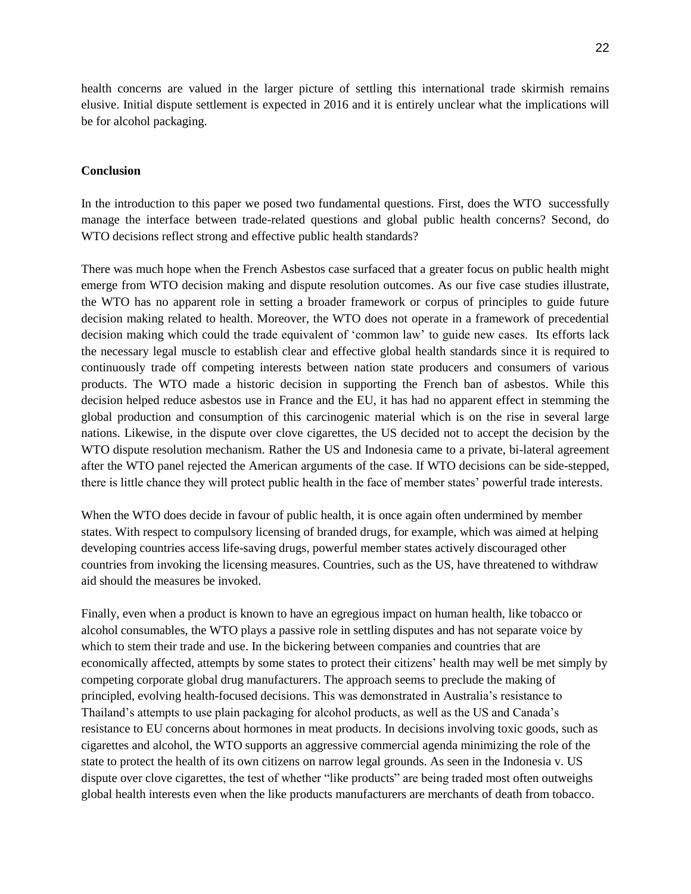health concerns are valued in the larger picture of settling this international trade skirmish remains elusive. Initial dispute settlement is expected in 2016 and it is entirely unclear what the implications will be for alcohol packaging.

#### **Conclusion**

In the introduction to this paper we posed two fundamental questions. First, does the WTO successfully manage the interface between trade-related questions and global public health concerns? Second, do WTO decisions reflect strong and effective public health standards?

There was much hope when the French Asbestos case surfaced that a greater focus on public health might emerge from WTO decision making and dispute resolution outcomes. As our five case studies illustrate, the WTO has no apparent role in setting a broader framework or corpus of principles to guide future decision making related to health. Moreover, the WTO does not operate in a framework of precedential decision making which could the trade equivalent of 'common law' to guide new cases. Its efforts lack the necessary legal muscle to establish clear and effective global health standards since it is required to continuously trade off competing interests between nation state producers and consumers of various products. The WTO made a historic decision in supporting the French ban of asbestos. While this decision helped reduce asbestos use in France and the EU, it has had no apparent effect in stemming the global production and consumption of this carcinogenic material which is on the rise in several large nations. Likewise, in the dispute over clove cigarettes, the US decided not to accept the decision by the WTO dispute resolution mechanism. Rather the US and Indonesia came to a private, bi-lateral agreement after the WTO panel rejected the American arguments of the case. If WTO decisions can be side-stepped, there is little chance they will protect public health in the face of member states' powerful trade interests.

When the WTO does decide in favour of public health, it is once again often undermined by member states. With respect to compulsory licensing of branded drugs, for example, which was aimed at helping developing countries access life-saving drugs, powerful member states actively discouraged other countries from invoking the licensing measures. Countries, such as the US, have threatened to withdraw aid should the measures be invoked.

Finally, even when a product is known to have an egregious impact on human health, like tobacco or alcohol consumables, the WTO plays a passive role in settling disputes and has not separate voice by which to stem their trade and use. In the bickering between companies and countries that are economically affected, attempts by some states to protect their citizens' health may well be met simply by competing corporate global drug manufacturers. The approach seems to preclude the making of principled, evolving health-focused decisions. This was demonstrated in Australia's resistance to Thailand's attempts to use plain packaging for alcohol products, as well as the US and Canada's resistance to EU concerns about hormones in meat products. In decisions involving toxic goods, such as cigarettes and alcohol, the WTO supports an aggressive commercial agenda minimizing the role of the state to protect the health of its own citizens on narrow legal grounds. As seen in the Indonesia v. US dispute over clove cigarettes, the test of whether "like products" are being traded most often outweighs global health interests even when the like products manufacturers are merchants of death from tobacco.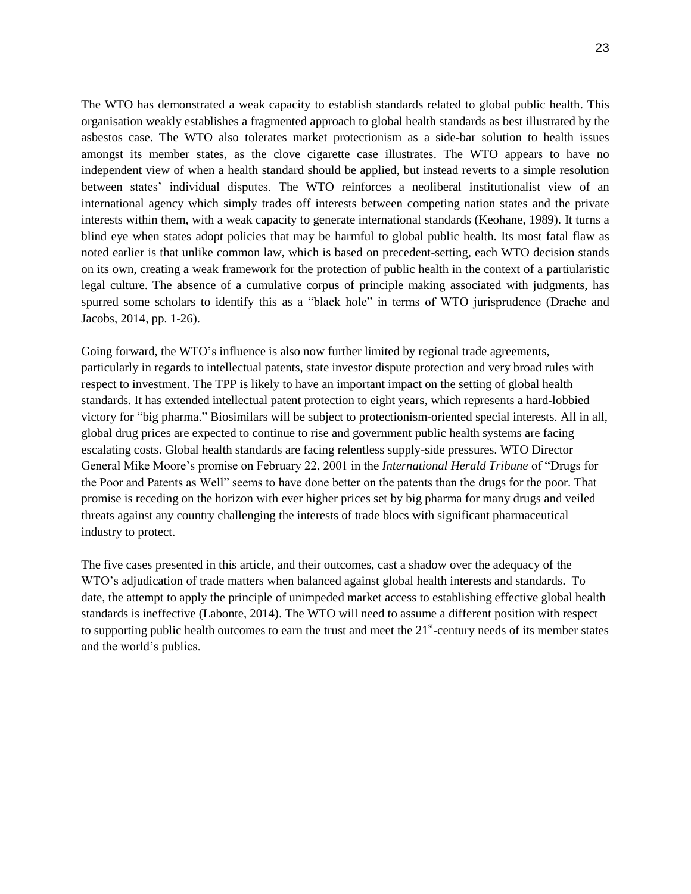The WTO has demonstrated a weak capacity to establish standards related to global public health. This organisation weakly establishes a fragmented approach to global health standards as best illustrated by the asbestos case. The WTO also tolerates market protectionism as a side-bar solution to health issues amongst its member states, as the clove cigarette case illustrates. The WTO appears to have no independent view of when a health standard should be applied, but instead reverts to a simple resolution between states' individual disputes. The WTO reinforces a neoliberal institutionalist view of an international agency which simply trades off interests between competing nation states and the private interests within them, with a weak capacity to generate international standards (Keohane, 1989). It turns a blind eye when states adopt policies that may be harmful to global public health. Its most fatal flaw as noted earlier is that unlike common law, which is based on precedent-setting, each WTO decision stands on its own, creating a weak framework for the protection of public health in the context of a partiularistic legal culture. The absence of a cumulative corpus of principle making associated with judgments, has spurred some scholars to identify this as a "black hole" in terms of WTO jurisprudence (Drache and Jacobs, 2014, pp. 1-26).

Going forward, the WTO's influence is also now further limited by regional trade agreements, particularly in regards to intellectual patents, state investor dispute protection and very broad rules with respect to investment. The TPP is likely to have an important impact on the setting of global health standards. It has extended intellectual patent protection to eight years, which represents a hard-lobbied victory for "big pharma." Biosimilars will be subject to protectionism-oriented special interests. All in all, global drug prices are expected to continue to rise and government public health systems are facing escalating costs. Global health standards are facing relentless supply-side pressures. WTO Director General Mike Moore's promise on February 22, 2001 in the *International Herald Tribune* of "Drugs for the Poor and Patents as Well" seems to have done better on the patents than the drugs for the poor. That promise is receding on the horizon with ever higher prices set by big pharma for many drugs and veiled threats against any country challenging the interests of trade blocs with significant pharmaceutical industry to protect.

The five cases presented in this article, and their outcomes, cast a shadow over the adequacy of the WTO's adjudication of trade matters when balanced against global health interests and standards. To date, the attempt to apply the principle of unimpeded market access to establishing effective global health standards is ineffective (Labonte, 2014). The WTO will need to assume a different position with respect to supporting public health outcomes to earn the trust and meet the  $21<sup>st</sup>$ -century needs of its member states and the world's publics.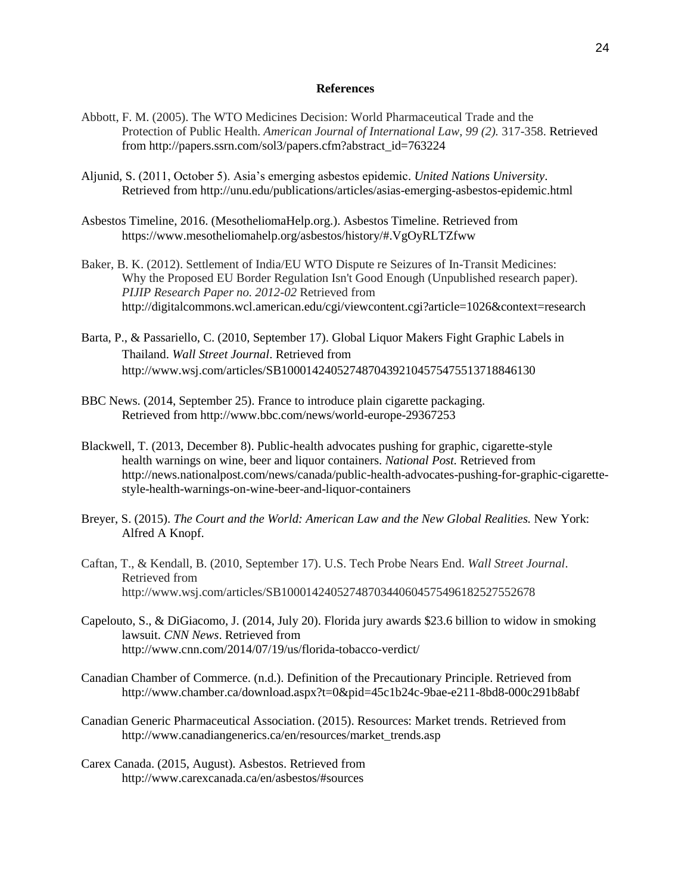#### **References**

- Abbott, F. M. (2005). The WTO Medicines Decision: World Pharmaceutical Trade and the Protection of Public Health. *American Journal of International Law*, *99 (2).* 317-358. Retrieved from http://papers.ssrn.com/sol3/papers.cfm?abstract\_id=763224
- Aljunid, S. (2011, October 5). Asia's emerging asbestos epidemic. *United Nations University*. Retrieved from http://unu.edu/publications/articles/asias-emerging-asbestos-epidemic.html
- Asbestos Timeline, 2016. (MesotheliomaHelp.org.). Asbestos Timeline. Retrieved from https://www.mesotheliomahelp.org/asbestos/history/#.VgOyRLTZfww
- Baker, B. K. (2012). Settlement of India/EU WTO Dispute re Seizures of In-Transit Medicines: Why the Proposed EU Border Regulation Isn't Good Enough (Unpublished research paper). *PIJIP Research Paper no. 2012-02* Retrieved from http://digitalcommons.wcl.american.edu/cgi/viewcontent.cgi?article=1026&context=research
- Barta, P., & Passariello, C. (2010, September 17). Global Liquor Makers Fight Graphic Labels in Thailand. *Wall Street Journal*. Retrieved from http://www.wsj.com/articles/SB10001424052748704392104575475513718846130
- BBC News. (2014, September 25). France to introduce plain cigarette packaging. Retrieved from http://www.bbc.com/news/world-europe-29367253
- Blackwell, T. (2013, December 8). Public-health advocates pushing for graphic, cigarette-style health warnings on wine, beer and liquor containers. *National Post.* Retrieved from http://news.nationalpost.com/news/canada/public-health-advocates-pushing-for-graphic-cigarettestyle-health-warnings-on-wine-beer-and-liquor-containers
- Breyer, S. (2015). *The Court and the World: American Law and the New Global Realities.* New York: Alfred A Knopf.
- Caftan, T., & Kendall, B. (2010, September 17). U.S. Tech Probe Nears End. *Wall Street Journal*. Retrieved from http://www.wsj.com/articles/SB10001424052748703440604575496182527552678
- Capelouto, S., & DiGiacomo, J. (2014, July 20). Florida jury awards \$23.6 billion to widow in smoking lawsuit. *CNN News*. Retrieved from http://www.cnn.com/2014/07/19/us/florida-tobacco-verdict/
- Canadian Chamber of Commerce. (n.d.). Definition of the Precautionary Principle. Retrieved from http://www.chamber.ca/download.aspx?t=0&pid=45c1b24c-9bae-e211-8bd8-000c291b8abf
- Canadian Generic Pharmaceutical Association. (2015). Resources: Market trends. Retrieved from http://www.canadiangenerics.ca/en/resources/market\_trends.asp
- Carex Canada. (2015, August). Asbestos. Retrieved from http://www.carexcanada.ca/en/asbestos/#sources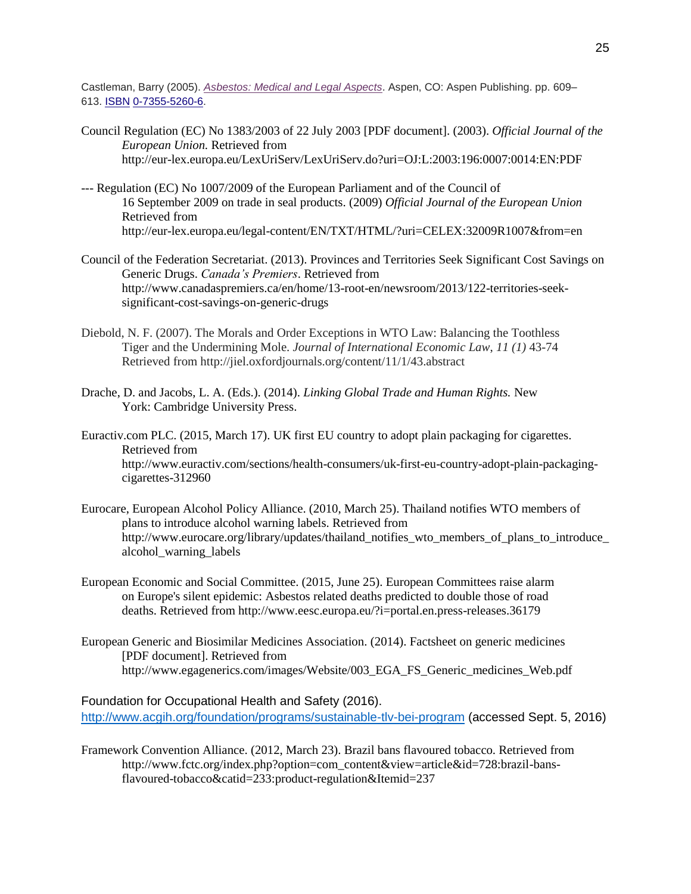Castleman, Barry (2005). *[Asbestos: Medical and Legal Aspects](http://www.amazon.com/Asbestos-Medical-Barry-I-Castleman/dp/156706275X)*. Aspen, CO: Aspen Publishing. pp. 609– 613. [ISBN](https://en.wikipedia.org/wiki/International_Standard_Book_Number) [0-7355-5260-6.](https://en.wikipedia.org/wiki/Special:BookSources/0-7355-5260-6)

- Council Regulation (EC) No 1383/2003 of 22 July 2003 [PDF document]. (2003). *Official Journal of the European Union.* Retrieved from http://eur-lex.europa.eu/LexUriServ/LexUriServ.do?uri=OJ:L:2003:196:0007:0014:EN:PDF
- --- Regulation (EC) No 1007/2009 of the European Parliament and of the Council of 16 September 2009 on trade in seal products. (2009) *Official Journal of the European Union* Retrieved from http://eur-lex.europa.eu/legal-content/EN/TXT/HTML/?uri=CELEX:32009R1007&from=en
- Council of the Federation Secretariat. (2013). Provinces and Territories Seek Significant Cost Savings on Generic Drugs. *Canada's Premiers*. Retrieved from http://www.canadaspremiers.ca/en/home/13-root-en/newsroom/2013/122-territories-seeksignificant-cost-savings-on-generic-drugs
- Diebold, N. F. (2007). The Morals and Order Exceptions in WTO Law: Balancing the Toothless Tiger and the Undermining Mole. *Journal of International Economic Law*, *11 (1)* 43-74 Retrieved from http://jiel.oxfordjournals.org/content/11/1/43.abstract
- Drache, D. and Jacobs, L. A. (Eds.). (2014). *Linking Global Trade and Human Rights.* New York: Cambridge University Press.
- Euractiv.com PLC. (2015, March 17). UK first EU country to adopt plain packaging for cigarettes. Retrieved from http://www.euractiv.com/sections/health-consumers/uk-first-eu-country-adopt-plain-packagingcigarettes-312960
- Eurocare, European Alcohol Policy Alliance. (2010, March 25). Thailand notifies WTO members of plans to introduce alcohol warning labels. Retrieved from http://www.eurocare.org/library/updates/thailand\_notifies\_wto\_members\_of\_plans\_to\_introduce\_ alcohol\_warning\_labels
- European Economic and Social Committee. (2015, June 25). European Committees raise alarm on Europe's silent epidemic: Asbestos related deaths predicted to double those of road deaths. Retrieved from http://www.eesc.europa.eu/?i=portal.en.press-releases.36179
- European Generic and Biosimilar Medicines Association. (2014). Factsheet on generic medicines [PDF document]. Retrieved from http://www.egagenerics.com/images/Website/003\_EGA\_FS\_Generic\_medicines\_Web.pdf

Foundation for Occupational Health and Safety (2016). <http://www.acgih.org/foundation/programs/sustainable-tlv-bei-program> (accessed Sept. 5, 2016)

Framework Convention Alliance. (2012, March 23). Brazil bans flavoured tobacco. Retrieved from http://www.fctc.org/index.php?option=com\_content&view=article&id=728:brazil-bansflavoured-tobacco&catid=233:product-regulation&Itemid=237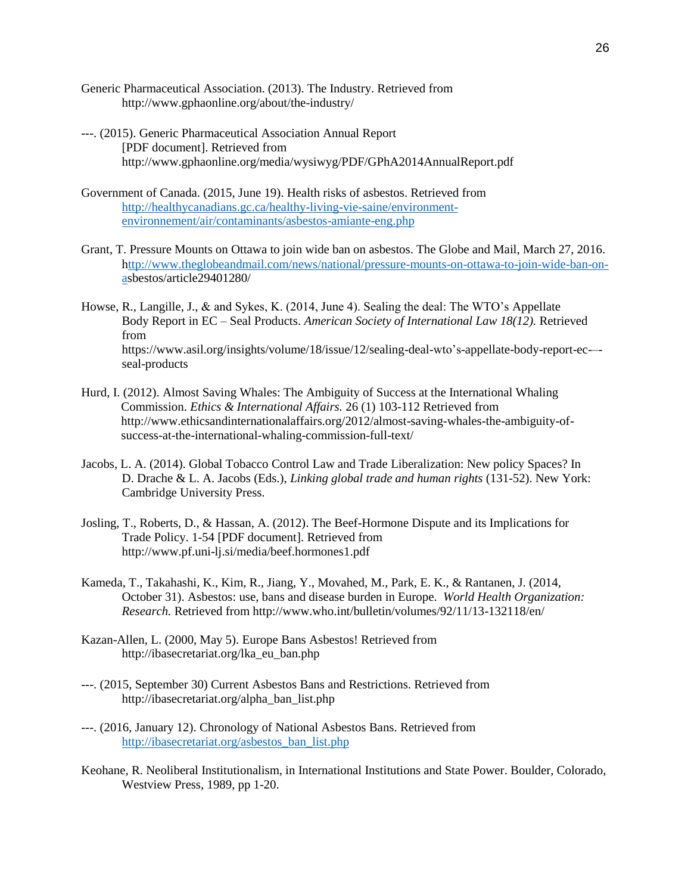- Generic Pharmaceutical Association. (2013). The Industry. Retrieved from http://www.gphaonline.org/about/the-industry/
- ---. (2015). Generic Pharmaceutical Association Annual Report [PDF document]. Retrieved from http://www.gphaonline.org/media/wysiwyg/PDF/GPhA2014AnnualReport.pdf
- Government of Canada. (2015, June 19). Health risks of asbestos. Retrieved from [http://healthycanadians.gc.ca/healthy-living-vie-saine/environment](http://healthycanadians.gc.ca/healthy-living-vie-saine/environment-environnement/air/contaminants/asbestos-amiante-eng.php)[environnement/air/contaminants/asbestos-amiante-eng.php](http://healthycanadians.gc.ca/healthy-living-vie-saine/environment-environnement/air/contaminants/asbestos-amiante-eng.php)
- Grant, T. Pressure Mounts on Ottawa to join wide ban on asbestos. The Globe and Mail, March 27, 2016. [http://www.theglobeandmail.com/news/national/pressure-mounts-on-ottawa-to-join-wide-ban-on](ttp://www.theglobeandmail.com/news/national/pressure-mounts-on-ottawa-to-join-wide-ban-on-a)[as](ttp://www.theglobeandmail.com/news/national/pressure-mounts-on-ottawa-to-join-wide-ban-on-a)bestos/article29401280/
- Howse, R., Langille, J., & and Sykes, K. (2014, June 4). Sealing the deal: The WTO's Appellate Body Report in EC – Seal Products. *American Society of International Law 18(12).* Retrieved from https://www.asil.org/insights/volume/18/issue/12/sealing-deal-wto's-appellate-body-report-ec-– seal-products
- Hurd, I. (2012). Almost Saving Whales: The Ambiguity of Success at the International Whaling Commission. *Ethics & International Affairs.* 26 (1) 103-112 Retrieved from http://www.ethicsandinternationalaffairs.org/2012/almost-saving-whales-the-ambiguity-ofsuccess-at-the-international-whaling-commission-full-text/
- Jacobs, L. A. (2014). Global Tobacco Control Law and Trade Liberalization: New policy Spaces? In D. Drache & L. A. Jacobs (Eds.), *Linking global trade and human rights* (131-52). New York: Cambridge University Press.
- Josling, T., Roberts, D., & Hassan, A. (2012). The Beef-Hormone Dispute and its Implications for Trade Policy. 1-54 [PDF document]. Retrieved from http://www.pf.uni-lj.si/media/beef.hormones1.pdf
- Kameda, T., Takahashi, K., Kim, R., Jiang, Y., Movahed, M., Park, E. K., & Rantanen, J. (2014, October 31). Asbestos: use, bans and disease burden in Europe. *World Health Organization: Research.* Retrieved from http://www.who.int/bulletin/volumes/92/11/13-132118/en/
- Kazan-Allen, L. (2000, May 5). Europe Bans Asbestos! Retrieved from http://ibasecretariat.org/lka\_eu\_ban.php
- ---. (2015, September 30) Current Asbestos Bans and Restrictions. Retrieved from http://ibasecretariat.org/alpha\_ban\_list.php
- ---. (2016, January 12). Chronology of National Asbestos Bans. Retrieved from [http://ibasecretariat.org/asbestos\\_ban\\_list.php](http://ibasecretariat.org/asbestos_ban_list.php)
- Keohane, R. Neoliberal Institutionalism, in International Institutions and State Power. Boulder, Colorado, Westview Press, 1989, pp 1-20.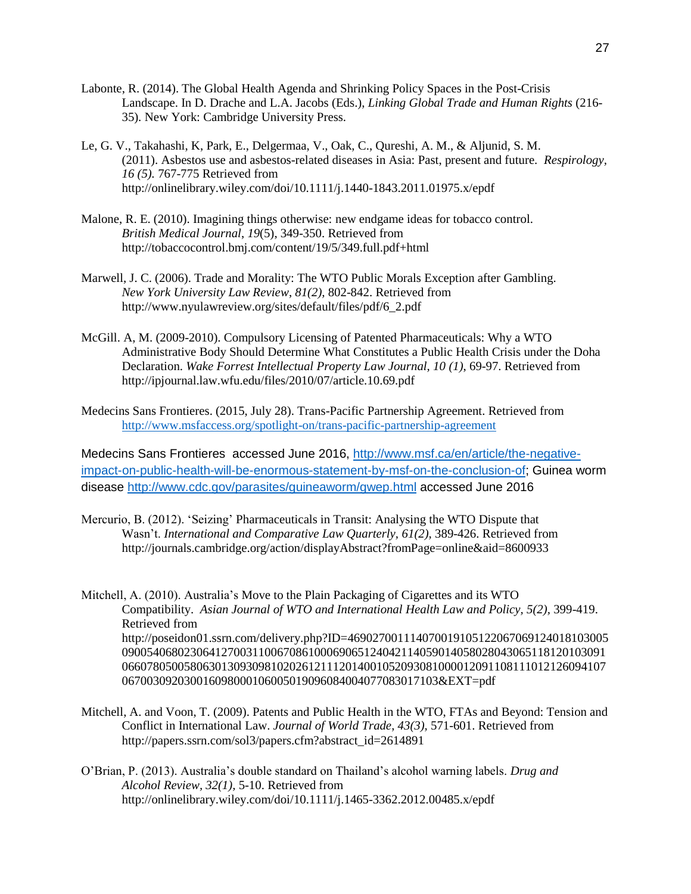- Labonte, R. (2014). The Global Health Agenda and Shrinking Policy Spaces in the Post-Crisis Landscape. In D. Drache and L.A. Jacobs (Eds.), *Linking Global Trade and Human Rights* (216- 35)*.* New York: Cambridge University Press.
- Le, G. V., Takahashi, K, Park, E., Delgermaa, V., Oak, C., Qureshi, A. M., & Aljunid, S. M. (2011). Asbestos use and asbestos-related diseases in Asia: Past, present and future. *Respirology, 16 (5).* 767-775 Retrieved from http://onlinelibrary.wiley.com/doi/10.1111/j.1440-1843.2011.01975.x/epdf
- Malone, R. E. (2010). Imagining things otherwise: new endgame ideas for tobacco control. *British Medical Journal*, *19*(5), 349-350. Retrieved from http://tobaccocontrol.bmj.com/content/19/5/349.full.pdf+html
- Marwell, J. C. (2006). Trade and Morality: The WTO Public Morals Exception after Gambling. *New York University Law Review*, *81(2),* 802-842. Retrieved from http://www.nyulawreview.org/sites/default/files/pdf/6\_2.pdf
- McGill. A, M. (2009-2010). Compulsory Licensing of Patented Pharmaceuticals: Why a WTO Administrative Body Should Determine What Constitutes a Public Health Crisis under the Doha Declaration. *Wake Forrest Intellectual Property Law Journal, 10 (1)*, 69-97. Retrieved from http://ipjournal.law.wfu.edu/files/2010/07/article.10.69.pdf
- Medecins Sans Frontieres. (2015, July 28). Trans-Pacific Partnership Agreement. Retrieved from <http://www.msfaccess.org/spotlight-on/trans-pacific-partnership-agreement>

Medecins Sans Frontieres accessed June 2016, [http://www.msf.ca/en/article/the-negative](http://www.msf.ca/en/article/the-negative-impact-on-public-health-will-be-enormous-statement-by-msf-on-the-conclusion-of)[impact-on-public-health-will-be-enormous-statement-by-msf-on-the-conclusion-of;](http://www.msf.ca/en/article/the-negative-impact-on-public-health-will-be-enormous-statement-by-msf-on-the-conclusion-of) Guinea worm disease<http://www.cdc.gov/parasites/guineaworm/gwep.html> accessed June 2016

Mercurio, B. (2012). 'Seizing' Pharmaceuticals in Transit: Analysing the WTO Dispute that Wasn't. *International and Comparative Law Quarterly, 61(2),* 389-426. Retrieved from http://journals.cambridge.org/action/displayAbstract?fromPage=online&aid=8600933

Mitchell, A. (2010). Australia's Move to the Plain Packaging of Cigarettes and its WTO Compatibility. *Asian Journal of WTO and International Health Law and Policy, 5(2),* 399-419. Retrieved from http://poseidon01.ssrn.com/delivery.php?ID=469027001114070019105122067069124018103005 090054068023064127003110067086100069065124042114059014058028043065118120103091 066078050058063013093098102026121112014001052093081000012091108111012126094107 067003092030016098000106005019096084004077083017103&EXT=pdf

- Mitchell, A. and Voon, T. (2009). Patents and Public Health in the WTO, FTAs and Beyond: Tension and Conflict in International Law. *Journal of World Trade*, *43(3),* 571-601. Retrieved from http://papers.ssrn.com/sol3/papers.cfm?abstract\_id=2614891
- O'Brian, P. (2013). Australia's double standard on Thailand's alcohol warning labels. *Drug and Alcohol Review, 32(1),* 5-10. Retrieved from http://onlinelibrary.wiley.com/doi/10.1111/j.1465-3362.2012.00485.x/epdf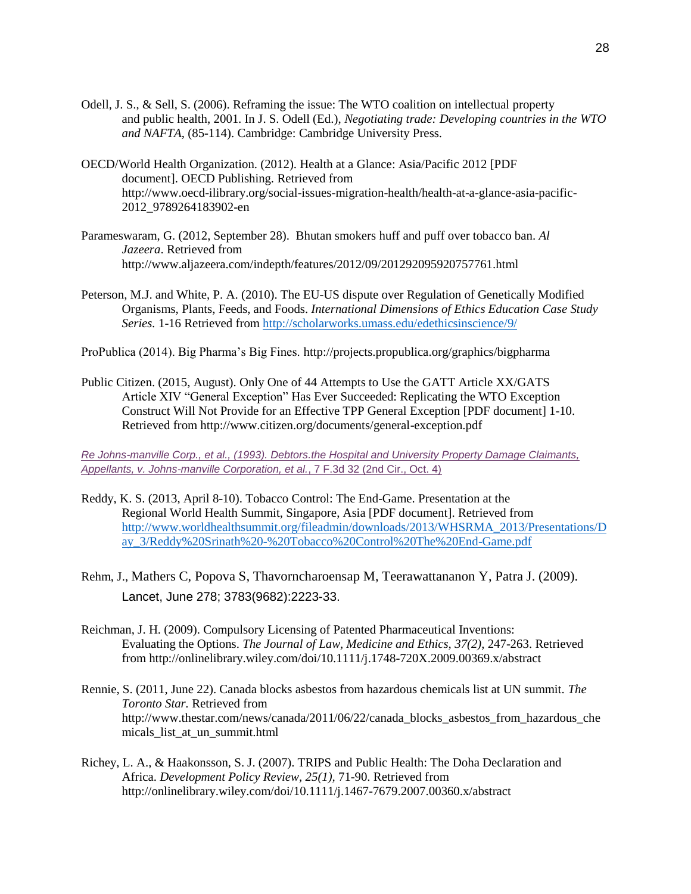- Odell, J. S., & Sell, S. (2006). Reframing the issue: The WTO coalition on intellectual property and public health, 2001. In J. S. Odell (Ed.), *Negotiating trade: Developing countries in the WTO and NAFTA*, (85-114). Cambridge: Cambridge University Press.
- OECD/World Health Organization. (2012). Health at a Glance: Asia/Pacific 2012 [PDF document]. OECD Publishing. Retrieved from http://www.oecd-ilibrary.org/social-issues-migration-health/health-at-a-glance-asia-pacific-2012\_9789264183902-en
- Parameswaram, G. (2012, September 28). Bhutan smokers huff and puff over tobacco ban. *Al Jazeera*. Retrieved from http://www.aljazeera.com/indepth/features/2012/09/201292095920757761.html
- Peterson, M.J. and White, P. A. (2010). The EU-US dispute over Regulation of Genetically Modified Organisms, Plants, Feeds, and Foods. *International Dimensions of Ethics Education Case Study Series.* 1-16 Retrieved from<http://scholarworks.umass.edu/edethicsinscience/9/>

ProPublica (2014). Big Pharma's Big Fines. http://projects.propublica.org/graphics/bigpharma

Public Citizen. (2015, August). Only One of 44 Attempts to Use the GATT Article XX/GATS Article XIV "General Exception" Has Ever Succeeded: Replicating the WTO Exception Construct Will Not Provide for an Effective TPP General Exception [PDF document] 1-10. Retrieved from http://www.citizen.org/documents/general-exception.pdf

*[Re Johns-manville Corp., et al., \(1993\). Debtors.the Hospital and University Property Damage Claimants,](http://law.justia.com/cases/federal/appellate-courts/F3/7/32/479329/)  [Appellants, v. Johns-manville Corporation, et al.](http://law.justia.com/cases/federal/appellate-courts/F3/7/32/479329/)*, 7 F.3d 32 (2nd Cir., Oct. 4)

- Reddy, K. S. (2013, April 8-10). Tobacco Control: The End-Game. Presentation at the Regional World Health Summit, Singapore, Asia [PDF document]. Retrieved from [http://www.worldhealthsummit.org/fileadmin/downloads/2013/WHSRMA\\_2013/Presentations/D](http://www.worldhealthsummit.org/fileadmin/downloads/2013/WHSRMA_2013/Presentations/Day_3/Reddy%20Srinath%20-%20Tobacco%20Control%20The%20End-Game.pdf) [ay\\_3/Reddy%20Srinath%20-%20Tobacco%20Control%20The%20End-Game.pdf](http://www.worldhealthsummit.org/fileadmin/downloads/2013/WHSRMA_2013/Presentations/Day_3/Reddy%20Srinath%20-%20Tobacco%20Control%20The%20End-Game.pdf)
- Rehm, J., [Mathers C,](file:///C:/pubmed/%3fterm=Mathers%20C%5bAuthor%5d&cauthor=true&cauthor_uid=19560604) [Popova S,](file:///C:/pubmed/%3fterm=Popova%20S%5bAuthor%5d&cauthor=true&cauthor_uid=19560604) [Thavorncharoensap M,](file:///C:/pubmed/%3fterm=Thavorncharoensap%20M%5bAuthor%5d&cauthor=true&cauthor_uid=19560604) [Teerawattananon Y,](file:///C:/pubmed/%3fterm=Teerawattananon%20Y%5bAuthor%5d&cauthor=true&cauthor_uid=19560604) [Patra J.](file:///C:/pubmed/%3fterm=Patra%20J%5bAuthor%5d&cauthor=true&cauthor_uid=19560604) (2009). Lancet, June 278; 3783(9682):2223-33.
- Reichman, J. H. (2009). Compulsory Licensing of Patented Pharmaceutical Inventions: Evaluating the Options. *The Journal of Law, Medicine and Ethics, 37(2)*, 247-263. Retrieved from http://onlinelibrary.wiley.com/doi/10.1111/j.1748-720X.2009.00369.x/abstract
- Rennie, S. (2011, June 22). Canada blocks asbestos from hazardous chemicals list at UN summit. *The Toronto Star.* Retrieved from http://www.thestar.com/news/canada/2011/06/22/canada\_blocks\_asbestos\_from\_hazardous\_che micals\_list\_at\_un\_summit.html
- Richey, L. A., & Haakonsson, S. J. (2007). TRIPS and Public Health: The Doha Declaration and Africa. *Development Policy Review, 25(1),* 71-90. Retrieved from http://onlinelibrary.wiley.com/doi/10.1111/j.1467-7679.2007.00360.x/abstract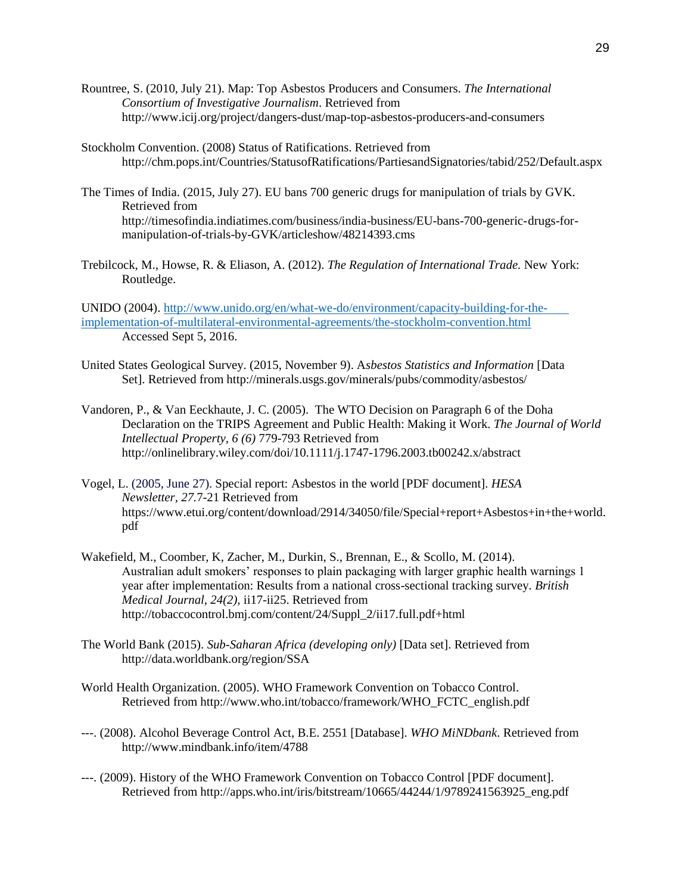- Rountree, S. (2010, July 21). Map: Top Asbestos Producers and Consumers. *The International Consortium of Investigative Journalism*. Retrieved from http://www.icij.org/project/dangers-dust/map-top-asbestos-producers-and-consumers
- Stockholm Convention. (2008) Status of Ratifications. Retrieved from http://chm.pops.int/Countries/StatusofRatifications/PartiesandSignatories/tabid/252/Default.aspx
- The Times of India. (2015, July 27). EU bans 700 generic drugs for manipulation of trials by GVK. Retrieved from http://timesofindia.indiatimes.com/business/india-business/EU-bans-700-generic-drugs-formanipulation-of-trials-by-GVK/articleshow/48214393.cms
- Trebilcock, M., Howse, R. & Eliason, A. (2012). *The Regulation of International Trade.* New York: Routledge.

UNIDO (2004). [http://www.unido.org/en/what-we-do/environment/capacity-building-for-the](http://www.unido.org/en/what-we-do/environment/capacity-building-for-the-%20%20%09%20%20%20%20%20%20%20implementation-of-multilateral-environmental-agreements/the-stockholm-convention.html)[implementation-of-multilateral-environmental-agreements/the-stockholm-convention.html](http://www.unido.org/en/what-we-do/environment/capacity-building-for-the-%20%20%09%20%20%20%20%20%20%20implementation-of-multilateral-environmental-agreements/the-stockholm-convention.html) Accessed Sept 5, 2016.

- United States Geological Survey. (2015, November 9). A*sbestos Statistics and Information* [Data Set]. Retrieved from http://minerals.usgs.gov/minerals/pubs/commodity/asbestos/
- Vandoren, P., & Van Eeckhaute, J. C. (2005). The WTO Decision on Paragraph 6 of the Doha Declaration on the TRIPS Agreement and Public Health: Making it Work. *The Journal of World Intellectual Property, 6 (6)* 779-793 Retrieved from http://onlinelibrary.wiley.com/doi/10.1111/j.1747-1796.2003.tb00242.x/abstract
- Vogel, L. (2005, June 27). Special report: Asbestos in the world [PDF document]. *HESA Newsletter, 27.*7-21 Retrieved from https://www.etui.org/content/download/2914/34050/file/Special+report+Asbestos+in+the+world. pdf
- Wakefield, M., Coomber, K, Zacher, M., Durkin, S., Brennan, E., & Scollo, M. (2014). Australian adult smokers' responses to plain packaging with larger graphic health warnings 1 year after implementation: Results from a national cross-sectional tracking survey. *British Medical Journal, 24(2),* ii17-ii25. Retrieved from http://tobaccocontrol.bmj.com/content/24/Suppl\_2/ii17.full.pdf+html
- The World Bank (2015). *Sub-Saharan Africa (developing only)* [Data set]. Retrieved from http://data.worldbank.org/region/SSA
- World Health Organization. (2005). WHO Framework Convention on Tobacco Control. Retrieved from http://www.who.int/tobacco/framework/WHO\_FCTC\_english.pdf
- ---. (2008). Alcohol Beverage Control Act, B.E. 2551 [Database]. *WHO MiNDbank*. Retrieved from http://www.mindbank.info/item/4788
- ---. (2009). History of the WHO Framework Convention on Tobacco Control [PDF document]. Retrieved from http://apps.who.int/iris/bitstream/10665/44244/1/9789241563925\_eng.pdf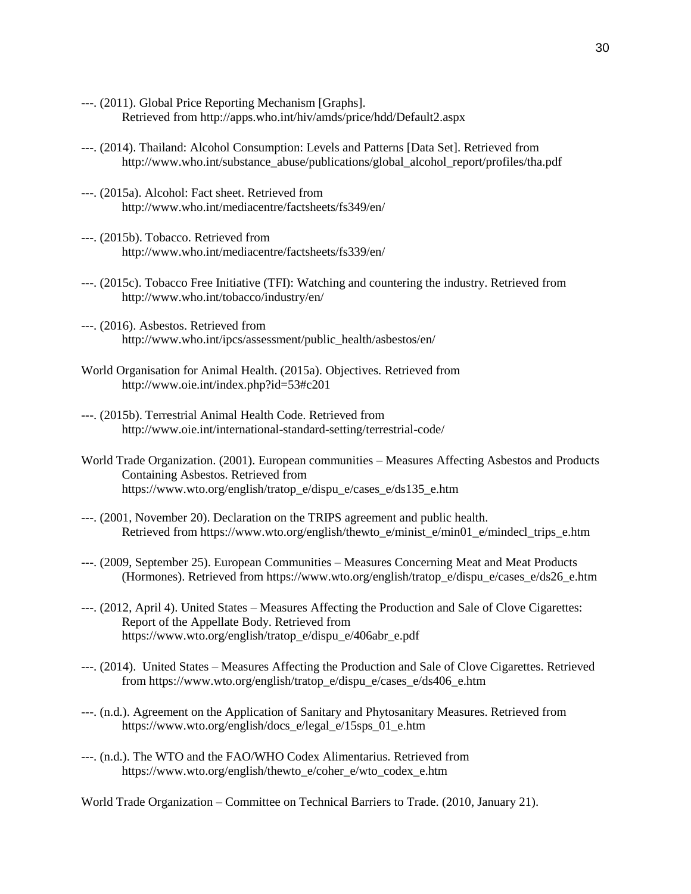- ---. (2011). Global Price Reporting Mechanism [Graphs]. Retrieved from http://apps.who.int/hiv/amds/price/hdd/Default2.aspx
- ---. (2014). Thailand: Alcohol Consumption: Levels and Patterns [Data Set]. Retrieved from http://www.who.int/substance\_abuse/publications/global\_alcohol\_report/profiles/tha.pdf
- ---. (2015a). Alcohol: Fact sheet. Retrieved from http://www.who.int/mediacentre/factsheets/fs349/en/
- ---. (2015b). Tobacco. Retrieved from http://www.who.int/mediacentre/factsheets/fs339/en/
- ---. (2015c). Tobacco Free Initiative (TFI): Watching and countering the industry. Retrieved from http://www.who.int/tobacco/industry/en/
- ---. (2016). Asbestos. Retrieved from http://www.who.int/ipcs/assessment/public\_health/asbestos/en/
- World Organisation for Animal Health. (2015a). Objectives. Retrieved from http://www.oie.int/index.php?id=53#c201
- ---. (2015b). Terrestrial Animal Health Code. Retrieved from http://www.oie.int/international-standard-setting/terrestrial-code/
- World Trade Organization. (2001). European communities Measures Affecting Asbestos and Products Containing Asbestos. Retrieved from https://www.wto.org/english/tratop\_e/dispu\_e/cases\_e/ds135\_e.htm
- ---. (2001, November 20). Declaration on the TRIPS agreement and public health. Retrieved from https://www.wto.org/english/thewto\_e/minist\_e/min01\_e/mindecl\_trips\_e.htm
- ---. (2009, September 25). European Communities Measures Concerning Meat and Meat Products (Hormones). Retrieved from https://www.wto.org/english/tratop\_e/dispu\_e/cases\_e/ds26\_e.htm
- ---. (2012, April 4). United States Measures Affecting the Production and Sale of Clove Cigarettes: Report of the Appellate Body. Retrieved from https://www.wto.org/english/tratop\_e/dispu\_e/406abr\_e.pdf
- ---. (2014). United States Measures Affecting the Production and Sale of Clove Cigarettes. Retrieved from https://www.wto.org/english/tratop\_e/dispu\_e/cases\_e/ds406\_e.htm
- ---. (n.d.). Agreement on the Application of Sanitary and Phytosanitary Measures. Retrieved from https://www.wto.org/english/docs\_e/legal\_e/15sps\_01\_e.htm
- ---. (n.d.). The WTO and the FAO/WHO Codex Alimentarius. Retrieved from https://www.wto.org/english/thewto\_e/coher\_e/wto\_codex\_e.htm

World Trade Organization – Committee on Technical Barriers to Trade. (2010, January 21).